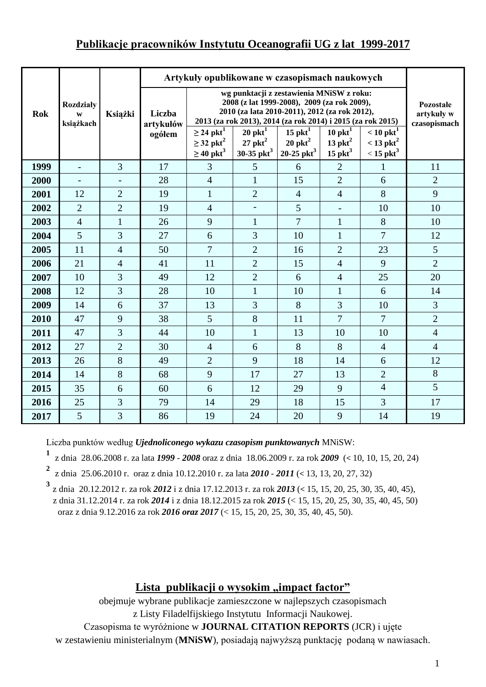# **Publikacje pracowników Instytutu Oceanografii UG z lat 1999-2017**

| <b>Rok</b> | <b>Rozdziały</b><br>W<br>książkach | Książki                  | Artykuły opublikowane w czasopismach naukowych |                                                                                                                                                                                                                                                                                                                                                                                                                                          |                                             |                |                          |                         |                                         |
|------------|------------------------------------|--------------------------|------------------------------------------------|------------------------------------------------------------------------------------------------------------------------------------------------------------------------------------------------------------------------------------------------------------------------------------------------------------------------------------------------------------------------------------------------------------------------------------------|---------------------------------------------|----------------|--------------------------|-------------------------|-----------------------------------------|
|            |                                    |                          | Liczba<br>artykułów<br>ogółem                  | wg punktacji z zestawienia MNiSW z roku:<br>2008 (z lat 1999-2008), 2009 (za rok 2009),<br>2010 (za lata 2010-2011), 2012 (za rok 2012),<br>2013 (za rok 2013), 2014 (za rok 2014) i 2015 (za rok 2015)<br>15 $\mathbf{pkt}^1$<br>$20 \text{ pkt}^1$<br>$10 \text{ pkt}^1$<br>$\geq$ 24 pkt <sup>1</sup><br>$< 10$ pkt <sup>1</sup><br>$20 \text{ pkt}^2$<br>13 p $\text{kt}^2$<br>$\geq$ 32 pkt <sup>2</sup><br>$< 13$ pkt <sup>2</sup> |                                             |                |                          |                         | Pozostałe<br>artykuły w<br>czasopismach |
|            |                                    |                          |                                                | $\geq 40$ pkt <sup>3</sup>                                                                                                                                                                                                                                                                                                                                                                                                               | $27$ pkt <sup>2</sup><br>30-35 $\rm{pkt}^3$ | 20-25 pkt $^3$ | 15 $\mathrm{pkt}^3$      | $< 15$ pkt <sup>3</sup> |                                         |
| 1999       | $\overline{\phantom{a}}$           | $\overline{3}$           | 17                                             | 3                                                                                                                                                                                                                                                                                                                                                                                                                                        | 5                                           | 6              | $\overline{2}$           | 1                       | 11                                      |
| 2000       | $\overline{\phantom{a}}$           | $\overline{\phantom{a}}$ | 28                                             | $\overline{4}$                                                                                                                                                                                                                                                                                                                                                                                                                           | $\mathbf{1}$                                | 15             | $\overline{2}$           | 6                       | $\overline{2}$                          |
| 2001       | 12                                 | $\overline{2}$           | 19                                             | $\mathbf{1}$                                                                                                                                                                                                                                                                                                                                                                                                                             | $\overline{2}$                              | $\overline{4}$ | $\overline{4}$           | 8                       | 9                                       |
| 2002       | $\overline{2}$                     | $\overline{2}$           | 19                                             | $\overline{4}$                                                                                                                                                                                                                                                                                                                                                                                                                           | $\overline{\phantom{0}}$                    | 5              | $\overline{\phantom{a}}$ | 10                      | 10                                      |
| 2003       | $\overline{4}$                     | $\mathbf{1}$             | 26                                             | 9                                                                                                                                                                                                                                                                                                                                                                                                                                        | $\mathbf{1}$                                | $\overline{7}$ | $\mathbf{1}$             | 8                       | 10                                      |
| 2004       | 5                                  | 3                        | 27                                             | 6                                                                                                                                                                                                                                                                                                                                                                                                                                        | 3                                           | 10             | $\mathbf{1}$             | $\overline{7}$          | 12                                      |
| 2005       | 11                                 | $\overline{4}$           | 50                                             | $\overline{7}$                                                                                                                                                                                                                                                                                                                                                                                                                           | $\overline{2}$                              | 16             | $\overline{2}$           | 23                      | 5                                       |
| 2006       | 21                                 | $\overline{4}$           | 41                                             | 11                                                                                                                                                                                                                                                                                                                                                                                                                                       | $\overline{2}$                              | 15             | $\overline{4}$           | 9                       | $\overline{2}$                          |
| 2007       | 10                                 | $\overline{3}$           | 49                                             | 12                                                                                                                                                                                                                                                                                                                                                                                                                                       | $\overline{2}$                              | 6              | $\overline{4}$           | 25                      | 20                                      |
| 2008       | 12                                 | $\overline{3}$           | 28                                             | 10                                                                                                                                                                                                                                                                                                                                                                                                                                       | $\mathbf{1}$                                | 10             | $\mathbf{1}$             | 6                       | 14                                      |
| 2009       | 14                                 | 6                        | 37                                             | 13                                                                                                                                                                                                                                                                                                                                                                                                                                       | $\overline{3}$                              | 8              | 3                        | 10                      | $\overline{3}$                          |
| 2010       | 47                                 | 9                        | 38                                             | 5                                                                                                                                                                                                                                                                                                                                                                                                                                        | 8                                           | 11             | $\overline{7}$           | $\overline{7}$          | $\overline{2}$                          |
| 2011       | 47                                 | 3                        | 44                                             | 10                                                                                                                                                                                                                                                                                                                                                                                                                                       | $\mathbf{1}$                                | 13             | 10                       | 10                      | $\overline{4}$                          |
| 2012       | 27                                 | $\overline{2}$           | 30                                             | $\overline{4}$                                                                                                                                                                                                                                                                                                                                                                                                                           | 6                                           | 8              | 8                        | $\overline{4}$          | $\overline{4}$                          |
| 2013       | 26                                 | 8                        | 49                                             | $\overline{2}$                                                                                                                                                                                                                                                                                                                                                                                                                           | 9                                           | 18             | 14                       | 6                       | 12                                      |
| 2014       | 14                                 | 8                        | 68                                             | 9                                                                                                                                                                                                                                                                                                                                                                                                                                        | 17                                          | 27             | 13                       | $\overline{2}$          | 8                                       |
| 2015       | 35                                 | 6                        | 60                                             | 6                                                                                                                                                                                                                                                                                                                                                                                                                                        | 12                                          | 29             | 9                        | $\overline{4}$          | $\overline{5}$                          |
| 2016       | 25                                 | 3                        | 79                                             | 14                                                                                                                                                                                                                                                                                                                                                                                                                                       | 29                                          | 18             | 15                       | $\overline{3}$          | 17                                      |
| 2017       | 5                                  | $\overline{3}$           | 86                                             | 19                                                                                                                                                                                                                                                                                                                                                                                                                                       | 24                                          | 20             | 9                        | 14                      | 19                                      |

Liczba punktów według *Ujednoliconego wykazu czasopism punktowanych* MNiSW:

**1** z dnia 28.06.2008 r. za lata *1999 - 2008* oraz z dnia 18.06.2009 r. za rok *2009* (**<** 10, 10, 15, 20, 24)

**2** z dnia 25.06.2010 r. oraz z dnia 10.12.2010 r. za lata *2010 - 2011* (**<** 13, 13, 20, 27, 32)

**3** z dnia 20.12.2012 r. za rok *2012* i z dnia 17.12.2013 r. za rok *2013* (**<** 15, 15, 20, 25, 30, 35, 40, 45), z dnia 31.12.2014 r. za rok *2014* i z dnia 18.12.2015 za rok *2015* (< 15, 15, 20, 25, 30, 35, 40, 45, 50) oraz z dnia 9.12.2016 za rok *2016 oraz 2017* (< 15, 15, 20, 25, 30, 35, 40, 45, 50).

# Lista publikacji o wysokim "impact factor"

obejmuje wybrane publikacje zamieszczone w najlepszych czasopismach z Listy Filadelfijskiego Instytutu Informacji Naukowej.

Czasopisma te wyróżnione w **JOURNAL CITATION REPORTS** (JCR) i ujęte

w zestawieniu ministerialnym (**MNiSW**), posiadają najwyższą punktację podaną w nawiasach.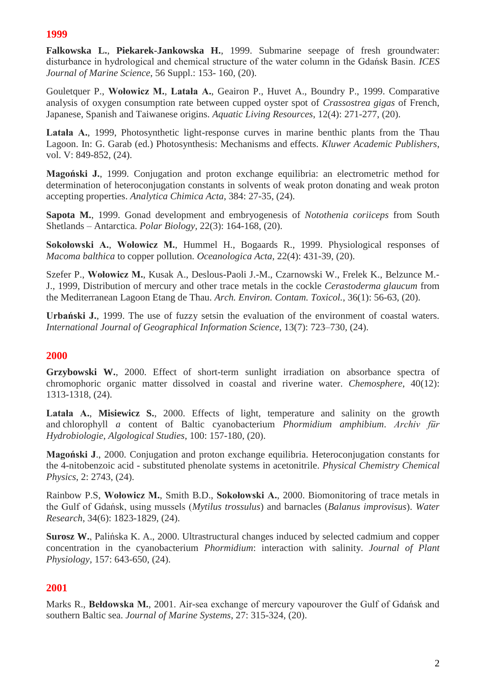## **1999**

**Falkowska L.**, **Piekarek-Jankowska H.**, 1999. Submarine seepage of fresh groundwater: disturbance in hydrological and chemical structure of the water column in the Gdańsk Basin. *ICES Journal of Marine Science*, 56 Suppl.: 153- 160, (20).

Gouletquer P., **Wołowicz M.**, **Latała A.**, Geairon P., Huvet A., Boundry P., 1999. Comparative analysis of oxygen consumption rate between cupped oyster spot of *Crassostrea gigas* of French, Japanese, Spanish and Taiwanese origins. *Aquatic Living Resources*, 12(4): 271-277, (20).

**Latała A.**, 1999, Photosynthetic light-response curves in marine benthic plants from the Thau Lagoon. In: G. Garab (ed.) Photosynthesis: Mechanisms and effects. *Kluwer Academic Publishers*, vol. V: 849-852, (24).

**Magoński J.**, 1999. Conjugation and proton exchange equilibria: an electrometric method for determination of heteroconjugation constants in solvents of weak proton donating and weak proton accepting properties. *Analytica Chimica Acta*, 384: 27-35, (24).

**Sapota M.**, 1999. Gonad development and embryogenesis of *Notothenia coriiceps* from South Shetlands – Antarctica. *Polar Biology,* 22(3): 164-168, (20).

**Sokołowski A.**, **Wołowicz M.**, Hummel H., Bogaards R., 1999. Physiological responses of *Macoma balthica* to copper pollution. *Oceanologica Acta*, 22(4): 431-39, (20).

Szefer P., **Wołowicz M.**, Kusak A., Deslous-Paoli J.-M., Czarnowski W., Frelek K., Belzunce M.- J., 1999, Distribution of mercury and other trace metals in the cockle *Cerastoderma glaucum* from the Mediterranean Lagoon Etang de Thau. *Arch. Environ. Contam. Toxicol.*, 36(1): 56-63, (20).

**Urbański J.**, 1999. The use of fuzzy setsin the evaluation of the environment of coastal waters. *International Journal of Geographical Information Science*, 13(7): 723–730, (24).

## **2000**

**Grzybowski W.**, 2000. Effect of short-term sunlight irradiation on absorbance spectra of chromophoric organic matter dissolved in coastal and riverine water. *Chemosphere*, 40(12): 1313-1318, (24).

Latala A., Misiewicz S., 2000. Effects of light, temperature and salinity on the growth and chlorophyll *a* content of Baltic cyanobacterium *Phormidium amphibium*. *Archiv für Hydrobiologie*, *Algological Studies*, 100: 157-180, (20).

**Magoński J**., 2000. Conjugation and proton exchange equilibria. Heteroconjugation constants for the 4-nitobenzoic acid - substituted phenolate systems in acetonitrile. *Physical Chemistry Chemical Physics*, 2: 2743, (24).

Rainbow P.S, **Wołowicz M.**, Smith B.D., **Sokołowski A.**, 2000. Biomonitoring of trace metals in the Gulf of Gdańsk, using mussels (*Mytilus trossulus*) and barnacles (*Balanus improvisus*). *Water Research*, 34(6): 1823-1829, (24).

**Surosz W.**, Palińska K. A., 2000. Ultrastructural changes induced by selected cadmium and copper concentration in the cyanobacterium *Phormidium*: interaction with salinity. *Journal of Plant Physiology,* 157: 643-650, (24).

## **2001**

Marks R., **Bełdowska M.**, 2001. Air-sea exchange of mercury vapourover the Gulf of Gdańsk and southern Baltic sea. *Journal of Marine Systems*, 27: 315-324, (20).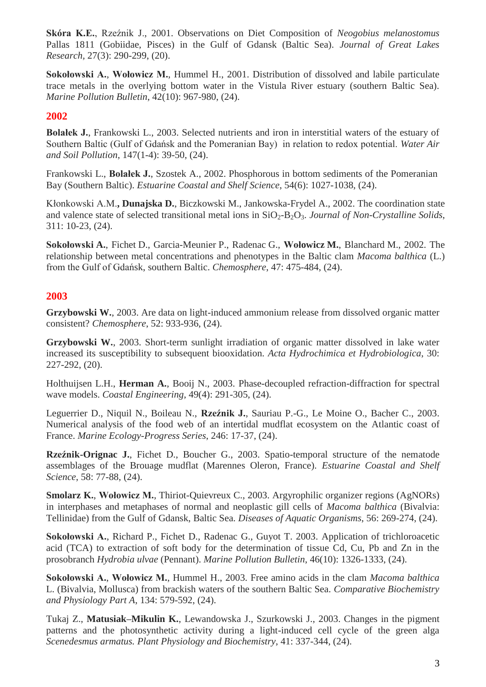**Skóra K.E.**, Rzeźnik J., 2001. Observations on Diet Composition of *Neogobius melanostomus* Pallas 1811 (Gobiidae, Pisces) in the Gulf of Gdansk (Baltic Sea). *Journal of Great Lakes Research,* 27(3): 290-299, (20).

**Sokołowski A.**, **Wołowicz M.**, Hummel H., 2001. Distribution of dissolved and labile particulate trace metals in the overlying bottom water in the Vistula River estuary (southern Baltic Sea). *Marine Pollution Bulletin*, 42(10): 967-980, (24).

### **2002**

**Bolałek J.**, Frankowski L., 2003. Selected nutrients and iron in interstitial waters of the estuary of Southern Baltic (Gulf of Gdańsk and the Pomeranian Bay) in relation to redox potential. *Water Air and Soil Pollution*, 147(1-4): 39-50, (24).

Frankowski L., **Bolałek J.**, Szostek A., 2002. Phosphorous in bottom sediments of the Pomeranian Bay (Southern Baltic). *Estuarine Coastal and Shelf Science*, 54(6): 1027-1038, (24).

Kłonkowski A.M.**, Dunajska D.**, Biczkowski M., Jankowska-Frydel A., 2002. The coordination state and valence state of selected transitional metal ions in SiO2-B2O3. *Journal of Non-Crystalline Solids*, 311: 10-23, (24).

**Sokołowski A.**, Fichet D., Garcia-Meunier P., Radenac G., **Wołowicz M.**, Blanchard M., 2002. The relationship between metal concentrations and phenotypes in the Baltic clam *Macoma balthica* (L.) from the Gulf of Gdańsk, southern Baltic. *Chemosphere*, 47: 475-484, (24).

#### **2003**

**Grzybowski W.**, 2003. Are data on light-induced ammonium release from dissolved organic matter consistent? *Chemosphere*, 52: 933-936, (24).

**Grzybowski W.**, 2003. Short-term sunlight irradiation of organic matter dissolved in lake water increased its susceptibility to subsequent biooxidation. *Acta Hydrochimica et Hydrobiologica*, 30: 227-292, (20).

Holthuijsen L.H., **Herman A.**, Booij N., 2003. Phase-decoupled refraction-diffraction for spectral wave models. *Coastal Engineering*, 49(4): 291-305, (24).

Leguerrier D., Niquil N., Boileau N., **Rzeźnik J.**, Sauriau P.-G., Le Moine O., Bacher C., 2003. Numerical analysis of the food web of an intertidal mudflat ecosystem on the Atlantic coast of France. *Marine Ecology-Progress Series*, 246: 17-37, (24).

**Rzeźnik-Orignac J.**, Fichet D., Boucher G., 2003. Spatio-temporal structure of the nematode assemblages of the Brouage mudflat (Marennes Oleron, France). *Estuarine Coastal and Shelf Science*, 58: 77-88, (24).

**Smolarz K.**, **Wołowicz M.**, Thiriot-Quievreux C., 2003. Argyrophilic organizer regions (AgNORs) in interphases and metaphases of normal and neoplastic gill cells of *Macoma balthica* (Bivalvia: Tellinidae) from the Gulf of Gdansk, Baltic Sea. *Diseases of Aquatic Organisms*, 56: 269-274, (24).

**Sokołowski A.**, Richard P., Fichet D., Radenac G., Guyot T. 2003. Application of trichloroacetic acid (TCA) to extraction of soft body for the determination of tissue Cd, Cu, Pb and Zn in the prosobranch *Hydrobia ulvae* (Pennant). *Marine Pollution Bulletin*, 46(10): 1326-1333, (24).

**Sokołowski A.**, **Wołowicz M.**, Hummel H., 2003. Free amino acids in the clam *Macoma balthica* L. (Bivalvia, Mollusca) from brackish waters of the southern Baltic Sea. *Comparative Biochemistry and Physiology Part A*, 134: 579-592, (24).

Tukaj Z., **Matusiak–Mikulin K.**, Lewandowska J., Szurkowski J., 2003. Changes in the pigment patterns and the photosynthetic activity during a light-induced cell cycle of the green alga *Scenedesmus armatus. Plant Physiology and Biochemistry*, 41: 337-344, (24).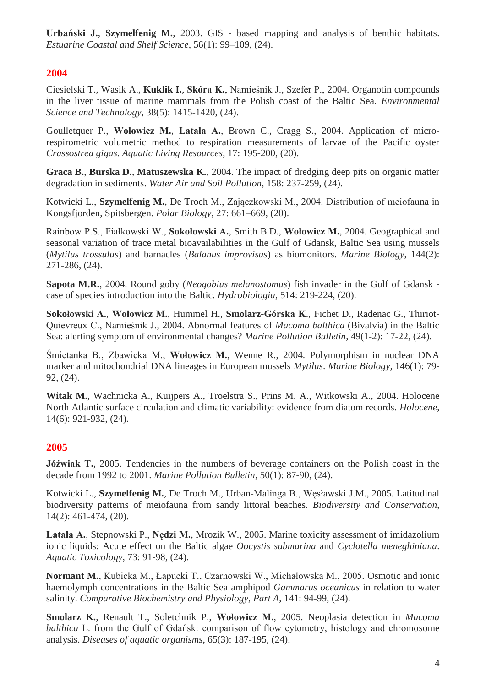**Urbański J.**, **Szymelfenig M.**, 2003. GIS - based mapping and analysis of benthic habitats. *Estuarine Coastal and Shelf Science*, 56(1): 99–109, (24).

## **2004**

Ciesielski T., Wasik A., **Kuklik I.**, **Skóra K.**, Namieśnik J., Szefer P., 2004. Organotin compounds in the liver tissue of marine mammals from the Polish coast of the Baltic Sea. *Environmental Science and Technology*, 38(5): 1415-1420, (24).

Goulletquer P., **Wołowicz M.**, **Latała A.**, Brown C., Cragg S., 2004. Application of microrespirometric volumetric method to respiration measurements of larvae of the Pacific oyster *Crassostrea gigas*. *Aquatic Living Resources*, 17: 195-200, (20).

**Graca B.**, **Burska D.**, **Matuszewska K.**, 2004. The impact of dredging deep pits on organic matter degradation in sediments. *Water Air and Soil Pollution*, 158: 237-259, (24).

Kotwicki L., **Szymelfenig M.**, De Troch M., Zajączkowski M., 2004. Distribution of meiofauna in Kongsfjorden, Spitsbergen. *Polar Biology,* 27: 661–669, (20).

Rainbow P.S., Fiałkowski W., **Sokołowski A.**, Smith B.D., **Wołowicz M.**, 2004. Geographical and seasonal variation of trace metal bioavailabilities in the Gulf of Gdansk, Baltic Sea using mussels (*Mytilus trossulus*) and barnacles (*Balanus improvisus*) as biomonitors. *Marine Biology*, 144(2): 271-286, (24).

**Sapota M.R.**, 2004. Round goby (*Neogobius melanostomus*) fish invader in the Gulf of Gdansk case of species introduction into the Baltic. *Hydrobiologia,* 514: 219-224, (20).

**Sokołowski A.**, **Wołowicz M.**, Hummel H., **Smolarz-Górska K**., Fichet D., Radenac G., Thiriot-Quievreux C., Namieśnik J., 2004. Abnormal features of *Macoma balthica* (Bivalvia) in the Baltic Sea: alerting symptom of environmental changes? *Marine Pollution Bulletin*, 49(1-2): 17-22, (24).

Śmietanka B., Zbawicka M., **Wołowicz M.**, Wenne R., 2004. Polymorphism in nuclear DNA marker and mitochondrial DNA lineages in European mussels *Mytilus*. *Marine Biology,* 146(1): 79- 92, (24).

**Witak M.**, Wachnicka A., Kuijpers A., Troelstra S., Prins M. A., Witkowski A., 2004. Holocene North Atlantic surface circulation and climatic variability: evidence from diatom records. *Holocene*, 14(6): 921-932, (24).

## **2005**

**Jóźwiak T.**, 2005. Tendencies in the numbers of beverage containers on the Polish coast in the decade from 1992 to 2001. *Marine Pollution Bulletin*, 50(1): 87-90, (24).

Kotwicki L., **Szymelfenig M.**, De Troch M., Urban-Malinga B., Węsławski J.M., 2005. Latitudinal biodiversity patterns of meiofauna from sandy littoral beaches. *Biodiversity and Conservation*, 14(2): 461-474, (20).

**Latała A.**, Stepnowski P., **Nędzi M.**, Mrozik W., 2005. Marine toxicity assessment of imidazolium ionic liquids: Acute effect on the Baltic algae *Oocystis submarina* and *Cyclotella meneghiniana*. *Aquatic Toxicology*, 73: 91-98, (24).

**Normant M.**, Kubicka M., Łapucki T., Czarnowski W., Michałowska M., 2005. Osmotic and ionic haemolymph concentrations in the Baltic Sea amphipod *Gammarus oceanicus* in relation to water salinity. *Comparative Biochemistry and Physiology, Part A*, 141: 94-99, (24).

**Smolarz K.**, Renault T., Soletchnik P., **Wołowicz M.**, 2005. Neoplasia detection in *Macoma balthica* L. from the Gulf of Gdańsk: comparison of flow cytometry, histology and chromosome analysis. *Diseases of aquatic organisms*, 65(3): 187-195, (24).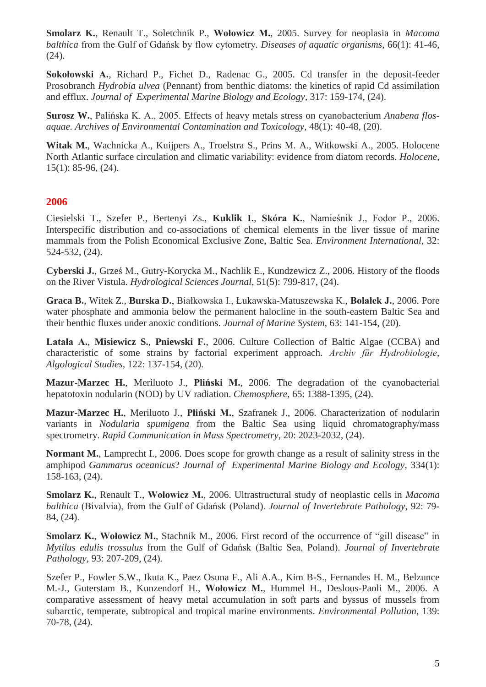**Smolarz K.**, Renault T., Soletchnik P., **Wołowicz M.**, 2005. Survey for neoplasia in *Macoma balthica* from the Gulf of Gdańsk by flow cytometry. *Diseases of aquatic organisms*, 66(1): 41-46, (24).

**Sokołowski A.**, Richard P., Fichet D., Radenac G., 2005. Cd transfer in the deposit-feeder Prosobranch *Hydrobia ulvea* (Pennant) from benthic diatoms: the kinetics of rapid Cd assimilation and efflux. *Journal of Experimental Marine Biology and Ecology*, 317: 159-174, (24).

**Surosz W.**, Palińska K. A., 2005. Effects of heavy metals stress on cyanobacterium *Anabena flosaquae. Archives of Environmental Contamination and Toxicology*, 48(1): 40-48, (20).

**Witak M.**, Wachnicka A., Kuijpers A., Troelstra S., Prins M. A., Witkowski A., 2005. Holocene North Atlantic surface circulation and climatic variability: evidence from diatom records. *Holocene*, 15(1): 85-96, (24).

#### **2006**

Ciesielski T., Szefer P., Bertenyi Zs., **Kuklik I.**, **Skóra K.**, Namieśnik J., Fodor P., 2006. Interspecific distribution and co-associations of chemical elements in the liver tissue of marine mammals from the Polish Economical Exclusive Zone, Baltic Sea. *Environment International*, 32: 524-532, (24).

**Cyberski J.**, Grześ M., Gutry-Korycka M., Nachlik E., Kundzewicz Z., 2006. History of the floods on the River Vistula. *Hydrological Sciences Journal*, 51(5): 799-817, (24).

**Graca B.**, Witek Z., **Burska D.**, Białkowska I., Łukawska-Matuszewska K., **Bolałek J.**, 2006. Pore water phosphate and ammonia below the permanent halocline in the south-eastern Baltic Sea and their benthic fluxes under anoxic conditions. *Journal of Marine System*, 63: 141-154, (20).

**Latała A.**, **Misiewicz S.**, **Pniewski F.**, 2006. Culture Collection of Baltic Algae (CCBA) and characteristic of some strains by factorial experiment approach. *Archiv für Hydrobiologie*, *Algological Studies*, 122: 137-154, (20).

**Mazur-Marzec H.**, Meriluoto J., **Pliński M.**, 2006. The degradation of the cyanobacterial hepatotoxin nodularin (NOD) by UV radiation. *Chemosphere*, 65: 1388-1395, (24).

**Mazur-Marzec H.**, Meriluoto J., **Pliński M.**, Szafranek J., 2006. Characterization of nodularin variants in *Nodularia spumigena* from the Baltic Sea using liquid chromatography/mass spectrometry. *Rapid Communication in Mass Spectrometry*, 20: 2023-2032, (24).

**Normant M.**, Lamprecht I., 2006. Does scope for growth change as a result of salinity stress in the amphipod *Gammarus oceanicus*? *Journal of Experimental Marine Biology and Ecology*, 334(1): 158-163, (24).

**Smolarz K.**, Renault T., **Wołowicz M.**, 2006. Ultrastructural study of neoplastic cells in *Macoma balthica* (Bivalvia), from the Gulf of Gdańsk (Poland). *Journal of Invertebrate Pathology*, 92: 79- 84, (24).

**Smolarz K.**, **Wołowicz M.**, Stachnik M., 2006. First record of the occurrence of "gill disease" in *Mytilus edulis trossulus* from the Gulf of Gdańsk (Baltic Sea, Poland). *Journal of Invertebrate Pathology*, 93: 207-209, (24).

Szefer P., Fowler S.W., Ikuta K., Paez Osuna F., Ali A.A., Kim B-S., Fernandes H. M., Belzunce M.-J., Guterstam B., Kunzendorf H., **Wołowicz M.**, Hummel H., Deslous-Paoli M., 2006. A comparative assessment of heavy metal accumulation in soft parts and byssus of mussels from subarctic, temperate, subtropical and tropical marine environments. *Environmental Pollution*, 139: 70-78, (24).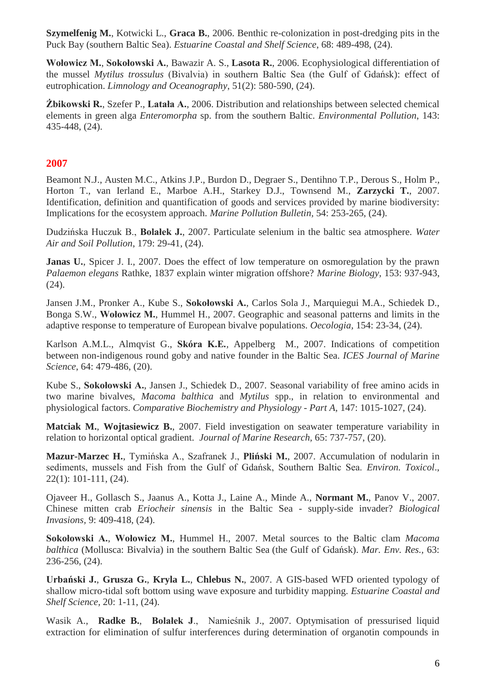**Szymelfenig M.**, Kotwicki L., **Graca B.**, 2006. Benthic re-colonization in post-dredging pits in the Puck Bay (southern Baltic Sea). *Estuarine Coastal and Shelf Science*, 68: 489-498, (24).

**Wołowicz M.**, **Sokołowski A.**, Bawazir A. S., **Lasota R.**, 2006. Ecophysiological differentiation of the mussel *Mytilus trossulus* (Bivalvia) in southern Baltic Sea (the Gulf of Gdańsk): effect of eutrophication. *Limnology and Oceanography*, 51(2): 580-590, (24).

**Żbikowski R.**, Szefer P., **Latała A.**, 2006. Distribution and relationships between selected chemical elements in green alga *Enteromorpha* sp. from the southern Baltic. *Environmental Pollution*, 143: 435-448, (24).

## **2007**

Beamont N.J., Austen M.C., Atkins J.P., Burdon D., Degraer S., Dentihno T.P., Derous S., Holm P., Horton T., van Ierland E., Marboe A.H., Starkey D.J., Townsend M., **Zarzycki T.**, 2007. Identification, definition and quantification of goods and services provided by marine biodiversity: Implications for the ecosystem approach. *Marine Pollution Bulletin,* 54: 253-265, (24).

Dudzińska Huczuk B., **Bolałek J.**, 2007. Particulate selenium in the baltic sea atmosphere. *Water Air and Soil Pollution*, 179: 29-41, (24).

**Janas U.**, Spicer J. I., 2007. Does the effect of low temperature on osmoregulation by the prawn *Palaemon elegans* Rathke, 1837 explain winter migration offshore? *Marine Biology,* 153: 937-943, (24).

Jansen J.M., Pronker A., Kube S., **Sokołowski A.**, Carlos Sola J., Marquiegui M.A., Schiedek D., Bonga S.W., **Wołowicz M.**, Hummel H., 2007. Geographic and seasonal patterns and limits in the adaptive response to temperature of European bivalve populations. *Oecologia,* 154: 23-34, (24).

Karlson A.M.L., Almqvist G., **Skóra K.E***.,* Appelberg M., 2007. Indications of competition between non-indigenous round goby and native founder in the Baltic Sea. *ICES Journal of Marine Science*, 64: 479-486, (20).

Kube S., **Sokołowski A.**, Jansen J., Schiedek D., 2007. Seasonal variability of free amino acids in two marine bivalves, *Macoma balthica* and *Mytilus* spp., in relation to environmental and physiological factors. *Comparative Biochemistry and Physiology - Part A,* 147: 1015-1027, (24).

**Matciak M.**, **Wojtasiewicz B.**, 2007. Field investigation on seawater temperature variability in relation to horizontal optical gradient. *Journal of Marine Research,* 65: 737-757, (20).

**Mazur-Marzec H.**, Tymińska A., Szafranek J., **Pliński M.**, 2007. Accumulation of nodularin in sediments, mussels and Fish from the Gulf of Gdańsk, Southern Baltic Sea. *Environ. Toxicol*., 22(1): 101-111, (24).

Ojaveer H., Gollasch S., Jaanus A., Kotta J., Laine A., Minde A., **Normant M.**, Panov V., 2007. Chinese mitten crab *Eriocheir sinensis* in the Baltic Sea - supply-side invader? *Biological Invasions,* 9: 409-418, (24).

**Sokołowski A.**, **Wołowicz M.**, Hummel H., 2007. Metal sources to the Baltic clam *Macoma balthica* (Mollusca: Bivalvia) in the southern Baltic Sea (the Gulf of Gdańsk). *Mar. Env. Res.,* 63: 236-256, (24).

**Urbański J.**, **Grusza G.**, **Kryla L.**, **Chlebus N.**, 2007. A GIS-based WFD oriented typology of shallow micro-tidal soft bottom using wave exposure and turbidity mapping. *Estuarine Coastal and Shelf Science,* 20: 1-11, (24).

Wasik A., **Radke B.**, **Bolałek J**., Namieśnik J., 2007. Optymisation of pressurised liquid extraction for elimination of sulfur interferences during determination of organotin compounds in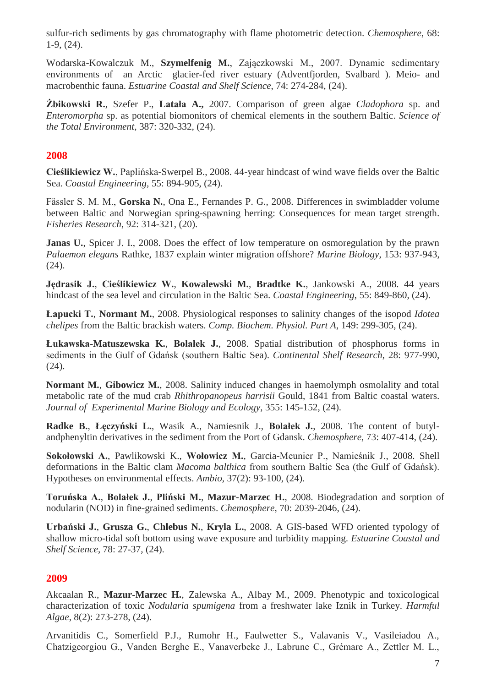sulfur-rich sediments by gas chromatography with flame photometric detection. *Chemosphere*, 68: 1-9, (24).

Wodarska-Kowalczuk M., **Szymelfenig M.**, Zajączkowski M., 2007. Dynamic sedimentary environments of an Arctic glacier-fed river estuary (Adventfjorden, Svalbard ). Meio- and macrobenthic fauna. *Estuarine Coastal and Shelf Science*, 74: 274-284, (24).

**Żbikowski R.**, Szefer P., **Latała A.,** 2007. Comparison of green algae *Cladophora* sp. and *Enteromorpha* sp. as potential biomonitors of chemical elements in the southern Baltic. *Science of the Total Environment*, 387: 320-332, (24).

#### **2008**

**Cieślikiewicz W.**, Paplińska-Swerpel B., 2008. 44-year hindcast of wind wave fields over the Baltic Sea. *Coastal Engineering,* 55: 894-905, (24).

Fässler S. M. M., **Gorska N.**, Ona E., Fernandes P. G., 2008. Differences in swimbladder volume between Baltic and Norwegian spring-spawning herring: Consequences for mean target strength. *Fisheries Research*, 92: 314-321, (20).

**Janas U.**, Spicer J. I., 2008. Does the effect of low temperature on osmoregulation by the prawn *Palaemon elegans* Rathke, 1837 explain winter migration offshore? *Marine Biology*, 153: 937-943,  $(24)$ .

**Jędrasik J.**, **Cieślikiewicz W.**, **Kowalewski M.**, **Bradtke K.**, Jankowski A., 2008. 44 years hindcast of the sea level and circulation in the Baltic Sea. *Coastal Engineering*, 55: 849-860, (24).

**Łapucki T.**, **Normant M.**, 2008. Physiological responses to salinity changes of the isopod *Idotea chelipes* from the Baltic brackish waters. *Comp. Biochem. Physiol. Part A*, 149: 299-305, (24).

**Łukawska-Matuszewska K.**, **Bolałek J.**, 2008. Spatial distribution of phosphorus forms in sediments in the Gulf of Gdańsk (southern Baltic Sea). *Continental Shelf Research*, 28: 977-990, (24).

**Normant M.**, **Gibowicz M.**, 2008. Salinity induced changes in haemolymph osmolality and total metabolic rate of the mud crab *Rhithropanopeus harrisii* Gould, 1841 from Baltic coastal waters. *Journal of Experimental Marine Biology and Ecology*, 355: 145-152, (24).

**Radke B.**, **Łęczyński L.**, Wasik A., Namiesnik J., **Bolałek J.**, 2008. The content of butylandphenyltin derivatives in the sediment from the Port of Gdansk. *Chemosphere*, 73: 407-414, (24).

**Sokołowski A.**, Pawlikowski K., **Wołowicz M.**, Garcia-Meunier P., Namieśnik J., 2008. Shell deformations in the Baltic clam *Macoma balthica* from southern Baltic Sea (the Gulf of Gdańsk). Hypotheses on environmental effects. *Ambio*, 37(2): 93-100, (24).

**Toruńska A.**, **Bolałek J.**, **Pliński M.**, **Mazur-Marzec H.**, 2008. Biodegradation and sorption of nodularin (NOD) in fine-grained sediments. *Chemosphere*, 70: 2039-2046, (24).

**Urbański J.**, **Grusza G.**, **Chlebus N.**, **Kryla L.**, 2008. A GIS-based WFD oriented typology of shallow micro-tidal soft bottom using wave exposure and turbidity mapping. *Estuarine Coastal and Shelf Science*, 78: 27-37, (24).

## **2009**

Akcaalan R., **Mazur-Marzec H.**, Zalewska A., Albay M., 2009. Phenotypic and toxicological characterization of toxic *Nodularia spumigena* from a freshwater lake Iznik in Turkey. *Harmful Algae*, 8(2): 273-278, (24).

Arvanitidis C., Somerfield P.J., Rumohr H., Faulwetter S., Valavanis V., Vasileiadou A., Chatzigeorgiou G., Vanden Berghe E., Vanaverbeke J., Labrune C., Grémare A., Zettler M. L.,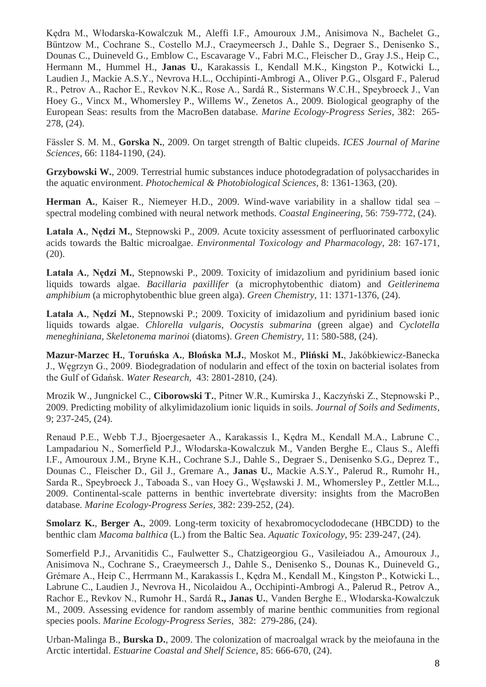Kędra M., Włodarska-Kowalczuk M., Aleffi I.F., Amouroux J.M., Anisimova N., Bachelet G., Büntzow M., Cochrane S., Costello M.J., Craeymeersch J., Dahle S., Degraer S., Denisenko S., Dounas C., Duineveld G., Emblow C., Escavarage V., Fabri M.C., Fleischer D., Gray J.S., Heip C., Hermann M., Hummel H., **Janas U.**, Karakassis I., Kendall M.K., Kingston P., Kotwicki L., Laudien J., Mackie A.S.Y., Nevrova H.L., Occhipinti-Ambrogi A., Oliver P.G., Olsgard F., Palerud R., Petrov A., Rachor E., Revkov N.K., Rose A., Sardá R., Sistermans W.C.H., Speybroeck J., Van Hoey G., Vincx M., Whomersley P., Willems W., Zenetos A., 2009. Biological geography of the European Seas: results from the MacroBen database. *Marine Ecology-Progress Series,* 382: 265- 278, (24).

Fässler S. M. M., **Gorska N.**, 2009. On target strength of Baltic clupeids. *ICES Journal of Marine Sciences*, 66: 1184-1190, (24).

**Grzybowski W.**, 2009*.* Terrestrial humic substances induce photodegradation of polysaccharides in the aquatic environment. *Photochemical & Photobiological Sciences*, 8: 1361-1363, (20).

**Herman A.**, Kaiser R., Niemeyer H.D., 2009. Wind-wave variability in a shallow tidal sea – spectral modeling combined with neural network methods. *Coastal Engineering*, 56: 759-772, (24).

**Latała A.**, **Nędzi M.**, Stepnowski P., 2009. Acute toxicity assessment of perfluorinated carboxylic acids towards the Baltic microalgae. *Environmental Toxicology and Pharmacology*, 28: 167-171, (20).

**Latała A.**, **Nędzi M.**, Stepnowski P., 2009. Toxicity of imidazolium and pyridinium based ionic liquids towards algae. *Bacillaria paxillifer* (a microphytobenthic diatom) and *Geitlerinema amphibium* (a microphytobenthic blue green alga). *Green Chemistry*, 11: 1371-1376, (24).

**Latała A.**, **Nędzi M.**, Stepnowski P.; 2009. Toxicity of imidazolium and pyridinium based ionic liquids towards algae. *Chlorella vulgaris*, *Oocystis submarina* (green algae) and *Cyclotella meneghiniana*, *Skeletonema marinoi* (diatoms). *Green Chemistry*, 11: 580-588, (24).

**Mazur-Marzec H.**, **Toruńska A.**, **Błońska M.J.**, Moskot M., **Pliński M.**, Jakóbkiewicz-Banecka J., Węgrzyn G., 2009. Biodegradation of nodularin and effect of the toxin on bacterial isolates from the Gulf of Gdańsk. *Water Research*, 43: 2801-2810, (24).

Mrozik W., Jungnickel C., **Ciborowski T.**, Pitner W.R., Kumirska J., Kaczyński Z., Stepnowski P., 2009. Predicting mobility of alkylimidazolium ionic liquids in soils. *Journal of Soils and Sediments*, 9; 237-245, (24).

Renaud P.E., Webb T.J., Bjoergesaeter A., Karakassis I., Kędra M., Kendall M.A., Labrune C., Lampadariou N., Somerfield P.J., Włodarska-Kowalczuk M., Vanden Berghe E., Claus S., Aleffi I.F., Amouroux J.M., Bryne K.H., Cochrane S.J., Dahle S., Degraer S., Denisenko S.G., Deprez T., Dounas C., Fleischer D., Gil J., Gremare A., **Janas U.**, Mackie A.S.Y., Palerud R., Rumohr H., Sarda R., Speybroeck J., Taboada S., van Hoey G., Węsławski J. M., Whomersley P., Zettler M.L., 2009. Continental-scale patterns in benthic invertebrate diversity: insights from the MacroBen database. *Marine Ecology-Progress Series*, 382: 239-252, (24).

**Smolarz K., Berger A.,** 2009. Long-term toxicity of hexabromocyclododecane (HBCDD) to the benthic clam *Macoma balthica* (L.) from the Baltic Sea. *Aquatic Toxicology*, 95: 239-247, (24).

Somerfield P.J., Arvanitidis C., Faulwetter S., Chatzigeorgiou G., Vasileiadou A., Amouroux J., Anisimova N., Cochrane S., Craeymeersch J., Dahle S., Denisenko S., Dounas K., Duineveld G., Grémare A., Heip C., Herrmann M., Karakassis I., Kędra M., Kendall M., Kingston P., Kotwicki L., Labrune C., Laudien J., Nevrova H., Nicolaidou A., Occhipinti-Ambrogi A., Palerud R., Petrov A., Rachor E., Revkov N., Rumohr H., Sardá R**., Janas U.**, Vanden Berghe E., Włodarska-Kowalczuk M., 2009. Assessing evidence for random assembly of marine benthic communities from regional species pools. *Marine Ecology-Progress Series,* 382: 279-286, (24).

Urban-Malinga B., **Burska D.**, 2009. The colonization of macroalgal wrack by the meiofauna in the Arctic intertidal. *Estuarine Coastal and Shelf Science*, 85: 666-670, (24).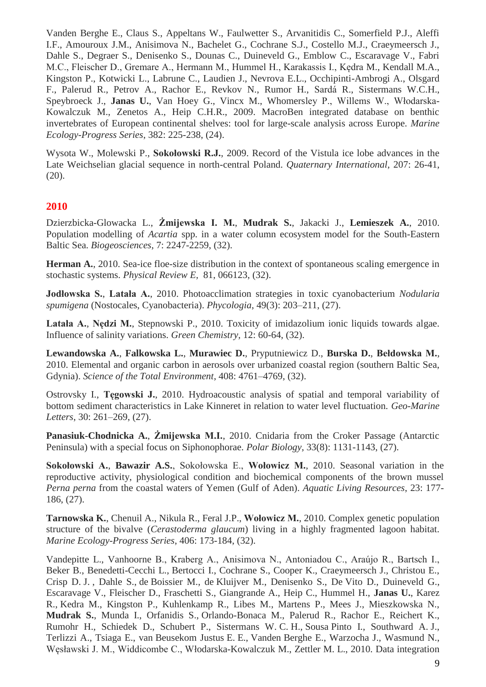Vanden Berghe E., Claus S., Appeltans W., Faulwetter S., Arvanitidis C., Somerfield P.J., Aleffi I.F., Amouroux J.M., Anisimova N., Bachelet G., Cochrane S.J., Costello M.J., Craeymeersch J., Dahle S., Degraer S., Denisenko S., Dounas C., Duineveld G., Emblow C., Escaravage V., Fabri M.C., Fleischer D., Gremare A., Hermann M., Hummel H., Karakassis I., Kędra M., Kendall M.A., Kingston P., Kotwicki L., Labrune C., Laudien J., Nevrova E.L., Occhipinti-Ambrogi A., Olsgard F., Palerud R., Petrov A., Rachor E., Revkov N., Rumor H., Sardá R., Sistermans W.C.H., Speybroeck J., **Janas U.**, Van Hoey G., Vincx M., Whomersley P., Willems W., Włodarska-Kowalczuk M., Zenetos A., Heip C.H.R., 2009. MacroBen integrated database on benthic invertebrates of European continental shelves: tool for large-scale analysis across Europe. *Marine Ecology-Progress Series*, 382: 225-238, (24).

Wysota W., Molewski P., **Sokołowski R.J.**, 2009. Record of the Vistula ice lobe advances in the Late Weichselian glacial sequence in north-central Poland. *Quaternary International*, 207: 26-41,  $(20)$ .

#### **2010**

Dzierzbicka-Glowacka L., **Żmijewska I. M.**, **Mudrak S.**, Jakacki J., **Lemieszek A.**, 2010. Population modelling of *Acartia* spp. in a water column ecosystem model for the South-Eastern Baltic Sea. *Biogeosciences*, 7: 2247-2259, (32).

**Herman A.**, 2010. Sea-ice floe-size distribution in the context of spontaneous scaling emergence in stochastic systems. *Physical Review E,* 81, 066123, (32).

**Jodłowska S.**, **Latała A.**, 2010. Photoacclimation strategies in toxic cyanobacterium *Nodularia spumigena* (Nostocales, Cyanobacteria). *Phycologia*, 49(3): 203–211, (27).

**Latała A.**, **Nędzi M.**, Stepnowski P., 2010. Toxicity of imidazolium ionic liquids towards algae. Influence of salinity variations. *Green Chemistry,* 12: 60-64, (32).

**Lewandowska A.**, **Falkowska L.**, **Murawiec D.**, Pryputniewicz D., **Burska D.**, **Bełdowska M.**, 2010. Elemental and organic carbon in aerosols over urbanized coastal region (southern Baltic Sea, Gdynia). *Science of the Total Environment*, 408: 4761–4769, (32).

Ostrovsky I., **Tęgowski J.**, 2010. Hydroacoustic analysis of spatial and temporal variability of bottom sediment characteristics in Lake Kinneret in relation to water level fluctuation. *Geo-Marine Letters*, 30: 261–269, (27).

**Panasiuk-Chodnicka A.**, **Żmijewska M.I.**, 2010. Cnidaria from the Croker Passage (Antarctic Peninsula) with a special focus on Siphonophorae. *Polar Biology*, 33(8): 1131-1143, (27).

**Sokołowski A.**, **Bawazir A.S.**, Sokołowska E., **Wołowicz M.**, 2010. Seasonal variation in the reproductive activity, physiological condition and biochemical components of the brown mussel *Perna perna* from the coastal waters of Yemen (Gulf of Aden). *Aquatic Living Resources*, 23: 177- 186, (27).

**Tarnowska K.**, Chenuil A., Nikula R., Feral J.P., **Wołowicz M.**, 2010. Complex genetic population structure of the bivalve (*Cerastoderma glaucum*) living in a highly fragmented lagoon habitat. *Marine Ecology-Progress Series*, 406: 173-184, (32).

Vandepitte L., Vanhoorne B., Kraberg A., Anisimova N., Antoniadou C., Araújo R., Bartsch I., Beker B., Benedetti-Cecchi L., Bertocci I., Cochrane S., Cooper K., Craeymeersch J., Christou E., Crisp D. J. , Dahle S., de Boissier M., de Kluijver M., Denisenko S., De Vito D., Duineveld G., Escaravage V., Fleischer D., Fraschetti S., Giangrande A., Heip C., Hummel H., **Janas U.**, Karez R., Kedra M., Kingston P., Kuhlenkamp R., Libes M., Martens P., Mees J., Mieszkowska N., **Mudrak S.**, Munda I., Orfanidis S., Orlando-Bonaca M., Palerud R., Rachor E., Reichert K., Rumohr H., Schiedek D., Schubert P., Sistermans W. C. H., Sousa Pinto I., Southward A. J., Terlizzi A., Tsiaga E., van Beusekom Justus E. E., Vanden Berghe E., Warzocha J., Wasmund N., Węsławski J. M., Widdicombe C., Włodarska-Kowalczuk M., Zettler M. L., 2010. Data integration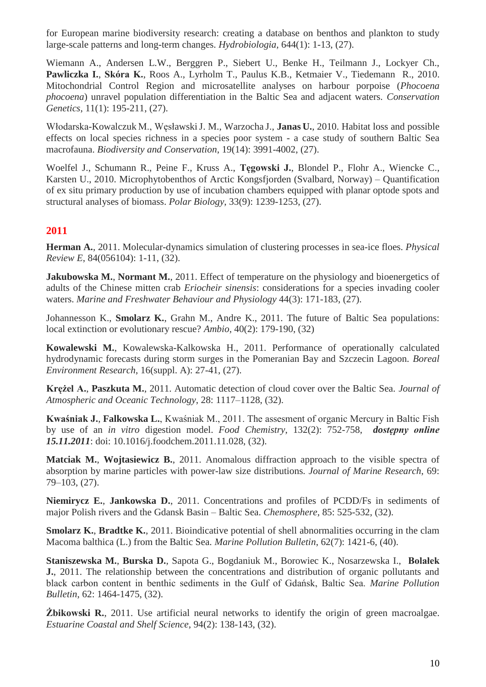for European marine biodiversity research: creating a database on benthos and plankton to study large-scale patterns and long-term changes. *Hydrobiologia,* 644(1): 1-13, (27).

Wiemann A., Andersen L.W., Berggren P., Siebert U., Benke H., Teilmann J., Lockyer Ch., **Pawliczka I.**, **Skóra K.**, Roos A., Lyrholm T., Paulus K.B., Ketmaier V., Tiedemann R., 2010. Mitochondrial Control Region and microsatellite analyses on harbour porpoise (*Phocoena phocoena*) unravel population differentiation in the Baltic Sea and adjacent waters. *Conservation Genetics*, 11(1): 195-211, (27).

Włodarska-Kowalczuk M., WęsławskiJ. M., Warzocha J., **Janas U.**, 2010. Habitat loss and possible effects on local species richness in a species poor system - a case study of southern Baltic Sea macrofauna. *Biodiversity and Conservation*, 19(14): 3991-4002, (27).

Woelfel J., Schumann R., Peine F., Kruss A., **Tęgowski J.**, Blondel P., Flohr A., Wiencke C., Karsten U., 2010. Microphytobenthos of Arctic Kongsfjorden (Svalbard, Norway) – Quantification of ex situ primary production by use of incubation chambers equipped with planar optode spots and structural analyses of biomass. *Polar Biology*, 33(9): 1239-1253, (27).

## **2011**

**Herman A.**, 2011. Molecular-dynamics simulation of clustering processes in sea-ice floes. *Physical Review E*, 84(056104): 1-11, (32).

**Jakubowska M., Normant M.**, 2011. Effect of temperature on the physiology and bioenergetics of adults of the Chinese mitten crab *Eriocheir sinensis*: considerations for a species invading cooler waters. *Marine and Freshwater Behaviour and Physiology* 44(3): 171-183, (27).

Johannesson K., **Smolarz K.**, Grahn M., Andre K., 2011. The future of Baltic Sea populations: local extinction or evolutionary rescue? *Ambio*, 40(2): 179-190, (32)

**Kowalewski M.**, Kowalewska-Kalkowska H., 2011. Performance of operationally calculated hydrodynamic forecasts during storm surges in the Pomeranian Bay and Szczecin Lagoon. *Boreal Environment Research*, 16(suppl. A): 27-41, (27).

**Krężel A.**, **Paszkuta M.**, 2011. Automatic detection of cloud cover over the Baltic Sea. *Journal of Atmospheric and Oceanic Technology*, 28: 1117–1128, (32).

**Kwaśniak J.**, **Falkowska L.**, Kwaśniak M., 2011. The assesment of organic Mercury in Baltic Fish by use of an *in vitro* digestion model. *Food Chemistry*, 132(2): 752-758, *dostępny online 15.11.2011*: doi: 10.1016/j.foodchem.2011.11.028, (32).

**Matciak M.**, **Wojtasiewicz B.**, 2011. Anomalous diffraction approach to the visible spectra of absorption by marine particles with power-law size distributions*. Journal of Marine Research*, 69: 79–103, (27).

**Niemirycz E.**, **Jankowska D.**, 2011. Concentrations and profiles of PCDD/Fs in sediments of major Polish rivers and the Gdansk Basin – Baltic Sea. *Chemosphere*, 85: 525-532, (32).

**Smolarz K., Bradtke K.,** 2011. Bioindicative potential of shell abnormalities occurring in the clam Macoma balthica (L.) from the Baltic Sea. *Marine Pollution Bulletin*, 62(7): 1421-6, (40).

**Staniszewska M.**, **Burska D.**, Sapota G., Bogdaniuk M., Borowiec K., Nosarzewska I., **Bolałek J.**, 2011. The relationship between the concentrations and distribution of organic pollutants and black carbon content in benthic sediments in the Gulf of Gdańsk, Baltic Sea. *Marine Pollution Bulletin*, 62: 1464-1475, (32).

**Żbikowski R.**, 2011. Use artificial neural networks to identify the origin of green macroalgae. *Estuarine Coastal and Shelf Science*, 94(2): 138-143, (32).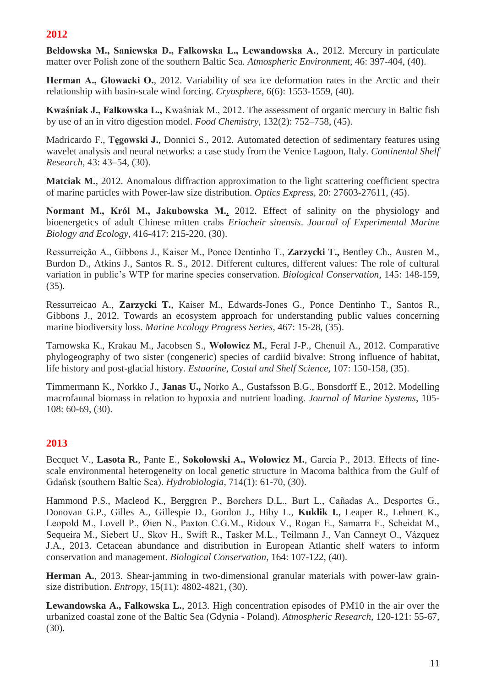# **2012**

**Bełdowska M., Saniewska D., Falkowska L., Lewandowska A.**, 2012. Mercury in particulate matter over Polish zone of the southern Baltic Sea. *Atmospheric Environment,* 46: 397-404, (40).

**Herman A., Głowacki O.**, 2012. Variability of sea ice deformation rates in the Arctic and their relationship with basin-scale wind forcing. *Cryosphere*, 6(6): 1553-1559, (40).

**Kwaśniak J., Falkowska L.,** Kwaśniak M., 2012. The assessment of organic mercury in Baltic fish by use of an in vitro digestion model. *Food Chemistry*, 132(2): 752–758, (45).

Madricardo F., **Tęgowski J.**, Donnici S., 2012. Automated detection of sedimentary features using wavelet analysis and neural networks: a case study from the Venice Lagoon, Italy. *Continental Shelf Research*, 43: 43–54, (30).

**Matciak M.**, 2012. Anomalous diffraction approximation to the light scattering coefficient spectra of marine particles with Power-law size distribution. *Optics Express*, 20: 27603-27611, (45).

**Normant M., Król M., Jakubowska M.**, 2012. Effect of salinity on the physiology and bioenergetics of adult Chinese mitten crabs *Eriocheir sinensis*. *Journal of Experimental Marine Biology and Ecology*, 416-417: 215-220, (30).

Ressurreição A., Gibbons J., Kaiser M., Ponce Dentinho T., **Zarzycki T.,** Bentley Ch., Austen M., Burdon D., Atkins J., Santos R. S., 2012. Different cultures, different values: The role of cultural variation in public's WTP for marine species conservation. *Biological Conservation*, 145: 148-159, (35).

Ressurreicao A., **Zarzycki T.**, Kaiser M., Edwards-Jones G., Ponce Dentinho T., Santos R., Gibbons J., 2012. Towards an ecosystem approach for understanding public values concerning marine biodiversity loss. *Marine Ecology Progress Series*, 467: 15-28, (35).

Tarnowska K., Krakau M., Jacobsen S., **Wołowicz M.**, Feral J-P., Chenuil A., 2012. Comparative phylogeography of two sister (congeneric) species of cardiid bivalve: Strong influence of habitat, life history and post-glacial history. *Estuarine, Costal and Shelf Science*, 107: 150-158, (35).

Timmermann K., Norkko J., **Janas U.,** Norko A., Gustafsson B.G., Bonsdorff E., 2012. Modelling macrofaunal biomass in relation to hypoxia and nutrient loading. *Journal of Marine Systems*, 105- 108: 60-69, (30).

## **2013**

Becquet V., **Lasota R.**, Pante E., **Sokołowski A., Wołowicz M.**, Garcia P., 2013. Effects of finescale environmental heterogeneity on local genetic structure in Macoma balthica from the Gulf of Gdańsk (southern Baltic Sea). *Hydrobiologia*, 714(1): 61-70, (30).

Hammond P.S., Macleod K., Berggren P., Borchers D.L., Burt L., Cañadas A., Desportes G., Donovan G.P., Gilles A., Gillespie D., Gordon J., Hiby L., **Kuklik I.**, Leaper R., Lehnert K., Leopold M., Lovell P., Øien N., Paxton C.G.M., Ridoux V., Rogan E., Samarra F., Scheidat M., Sequeira M., Siebert U., Skov H., Swift R., Tasker M.L., Teilmann J., Van Canneyt O., Vázquez J.A., 2013. Cetacean abundance and distribution in European Atlantic shelf waters to inform conservation and management. *Biological Conservation*, 164: 107-122, (40).

**Herman A.**, 2013. Shear-jamming in two-dimensional granular materials with power-law grainsize distribution. *Entropy,* 15(11): 4802-4821, (30).

**Lewandowska A., Falkowska L.**, 2013. High concentration episodes of PM10 in the air over the urbanized coastal zone of the Baltic Sea (Gdynia - Poland). *Atmospheric Research*, 120-121: 55-67, (30).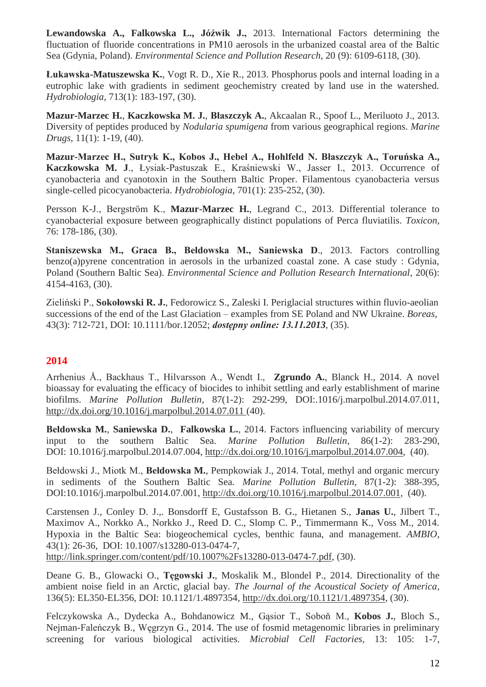**Lewandowska A., Falkowska L., Jóźwik J.,** 2013. International Factors determining the fluctuation of fluoride concentrations in PM10 aerosols in the urbanized coastal area of the Baltic Sea (Gdynia, Poland). *Environmental Science and Pollution Research*, 20 (9): 6109-6118, (30).

**Łukawska-Matuszewska K.**, Vogt R. D., Xie R., 2013. Phosphorus pools and internal loading in a eutrophic lake with gradients in sediment geochemistry created by land use in the watershed. *Hydrobiologia*, 713(1): 183-197, (30).

**Mazur-Marzec H.**, **Kaczkowska M. J.**, **Błaszczyk A.**, Akcaalan R., Spoof L., Meriluoto J., 2013. Diversity of peptides produced by *Nodularia spumigena* from various geographical regions. *Marine Drugs*, 11(1): 1-19, (40).

**Mazur-Marzec H., Sutryk K., Kobos J., Hebel A., Hohlfeld N. Błaszczyk A., Toruńska A., Kaczkowska M. J**., Łysiak-Pastuszak E., Kraśniewski W., Jasser I., 2013. Occurrence of cyanobacteria and cyanotoxin in the Southern Baltic Proper. Filamentous cyanobacteria versus single-celled picocyanobacteria. *Hydrobiologia*, 701(1): 235-252, (30).

Persson K-J., Bergström K., **Mazur-Marzec H.**, Legrand C., 2013. Differential tolerance to cyanobacterial exposure between geographically distinct populations of Perca fluviatilis. *Toxicon*, 76: 178-186, (30).

**Staniszewska M., Graca B., Bełdowska M., Saniewska D**., 2013. Factors controlling benzo(a)pyrene concentration in aerosols in the urbanized coastal zone. A case study : Gdynia, Poland (Southern Baltic Sea). *Environmental Science and Pollution Research International*, 20(6): 4154-4163, (30).

Zieliński P., **Sokołowski R. J.**, Fedorowicz S., Zaleski I. Periglacial structures within fluvio-aeolian successions of the end of the Last Glaciation – examples from SE Poland and NW Ukraine. *Boreas*, 43(3): 712-721, DOI: 10.1111/bor.12052; *dostępny online: 13.11.2013*, (35).

## **2014**

Arrhenius Å., Backhaus T., Hilvarsson A., Wendt I., **[Zgrundo](http://expertus.bg.univ.gda.pl/cgi-bin/expertus.cgi) A.**, Blanck H., 2014. A novel bioassay for evaluating the efficacy of biocides to inhibit settling and early establishment of marine biofilms. *Marine Pollution Bulletin*, 87(1-2): 292-299, DOI:.1016/j.marpolbul.2014.07.011, <http://dx.doi.org/10.1016/j.marpolbul.2014.07.011> (40).

**Bełdowska M.**, **Saniewska D.**, **Falkowska L.**, 2014. Factors influencing variability of mercury input to the southern Baltic Sea. *Marine Pollution Bulletin*, 86(1-2): 283-290, DOI: 10.1016/j.marpolbul.2014.07.004, [http://dx.doi.org/10.1016/j.marpolbul.2014.07.004,](http://dx.doi.org/10.1016/j.marpolbul.2014.07.004) (40).

Bełdowski J., Miotk M., **Bełdowska M.**, Pempkowiak J., 2014. Total, methyl and organic mercury in sediments of the Southern Baltic Sea. *Marine Pollution Bulletin*, 87(1-2): 388-395, DOI:10.1016/j.marpolbul.2014.07.001, [http://dx.doi.org/10.1016/j.marpolbul.2014.07.001,](http://dx.doi.org/10.1016/j.marpolbul.2014.07.001) (40).

Carstensen J., Conley D. J.,. Bonsdorff E, Gustafsson B. G., Hietanen S., **Janas U.**, Jilbert T., Maximov A., Norkko A., Norkko J., Reed D. C., Slomp C. P., Timmermann K., Voss M., 2014. Hypoxia in the Baltic Sea: biogeochemical cycles, benthic fauna, and management. *AMBIO*, 43(1): 26-36, DOI: 10.1007/s13280-013-0474-7, [http://link.springer.com/content/pdf/10.1007%2Fs13280-013-0474-7.pdf,](http://link.springer.com/content/pdf/10.1007%2Fs13280-013-0474-7.pdf) (30).

Deane G. B., Glowacki O., **[Tęgowski](http://expertus.bg.univ.gda.pl/cgi-bin/expertus.cgi) J.**, Moskalik M., Blondel P., 2014. Directionality of the ambient noise field in an Arctic, glacial bay. *The Journal of the Acoustical Society of America*, 136(5): EL350-EL356, DOI: [10.1121/1.4897354, http://dx.doi.org/10.1121/1.4897354,](http://dx.doi.org/10.1121/1.4897354) (30).

Felczykowska A., Dydecka A., Bohdanowicz M., Gąsior T., Soboň M., **Kobos J.**, Bloch S., Nejman-Faleńczyk B., Węgrzyn G., 2014. The use of fosmid metagenomic libraries in preliminary screening for various biological activities. *Microbial Cell Factories*, 13: 105: 1-7,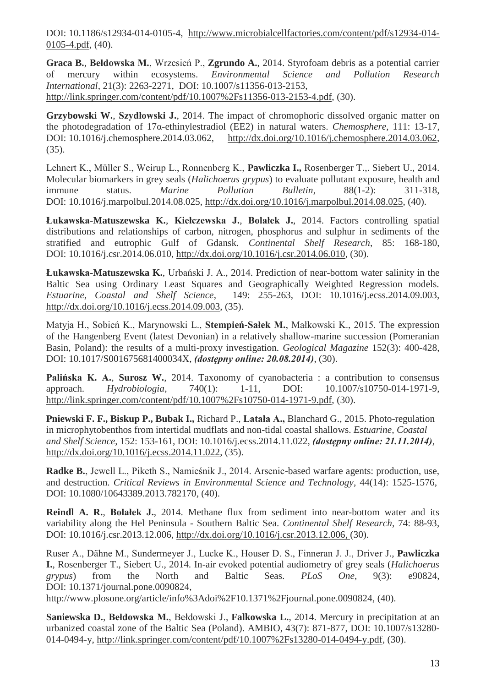DOI: 10.1186/s12934-014-0105-4, [http://www.microbialcellfactories.com/content/pdf/s12934-014-](http://www.microbialcellfactories.com/content/pdf/s12934-014-0105-4.pdf) [0105-4.pdf,](http://www.microbialcellfactories.com/content/pdf/s12934-014-0105-4.pdf) (40).

**Graca B.**, **Bełdowska M.**, Wrzesień P., **Zgrundo A.**, 2014. Styrofoam debris as a potential carrier of mercury within ecosystems. *Environmental Science and Pollution Research International*, 21(3): 2263-2271, DOI: 10.1007/s11356-013-2153, [http://link.springer.com/content/pdf/10.1007%2Fs11356-013-2153-4.pdf,](http://link.springer.com/content/pdf/10.1007%2Fs11356-013-2153-4.pdf) (30).

**Grzybowski W.**, **Szydłowski J.**, 2014. The impact of chromophoric dissolved organic matter on the photodegradation of 17α-ethinylestradiol (EE2) in natural waters. *Chemosphere*, 111: 13-17, DOI: [10.1016/j.chemosphere.2014.03.062,](http://dx.doi.org/10.1016/j.chemosphere.2014.03.062) [http://dx.doi.org/10.1016/j.chemosphere.2014.03.062,](http://dx.doi.org/10.1016/j.chemosphere.2014.03.062) (35).

Lehnert K., Müller S., Weirup L., Ronnenberg K., **Pawliczka I.,** Rosenberger T.,. Siebert U., 2014. Molecular biomarkers in grey seals (*Halichoerus grypus*) to evaluate pollutant exposure, health and immune status. *Marine Pollution Bulletin*, 88(1-2): 311-318, DOI: 10.1016/j.marpolbul.2014.08.025, [http://dx.doi.org/10.1016/j.marpolbul.2014.08.025,](http://dx.doi.org/10.1016/j.marpolbul.2014.08.025) (40).

**Łukawska-Matuszewska K.**, **Kiełczewska J.**, **Bolałek J.**, 2014. Factors controlling spatial distributions and relationships of carbon, nitrogen, phosphorus and sulphur in sediments of the stratified and eutrophic Gulf of Gdansk. *Continental Shelf Research*, 85: 168-180, DOI: 10.1016/j.csr.2014.06.010, [http://dx.doi.org/10.1016/j.csr.2014.06.010,](http://dx.doi.org/10.1016/j.csr.2014.06.010) (30).

**Łukawska-Matuszewska K.**, Urbański J. A., 2014. Prediction of near-bottom water salinity in the Baltic Sea using Ordinary Least Squares and Geographically Weighted Regression models. *Estuarine, Coastal and Shelf Science*, 149: 255-263, DOI: 10.1016/j.ecss.2014.09.003, [http://dx.doi.org/10.1016/j.ecss.2014.09.003,](http://dx.doi.org/10.1016/j.ecss.2014.09.003) (35).

Matyja H., Sobień K., Marynowski L., **Stempień-Sałek M.**, Małkowski K., 2015. The expression of the Hangenberg Event (latest Devonian) in a relatively shallow-marine succession (Pomeranian Basin, Poland): the results of a multi-proxy investigation. *Geological Magazine* 152(3): 400-428, DOI: 10.1017/S001675681400034X, *(dostępny online: 20.08.2014)*, (30).

Palińska K. A., Surosz W., 2014. Taxonomy of cyanobacteria : a contribution to consensus approach. *Hydrobiologia*, 740(1): 1-11, DOI: 10.1007/s10750-014-1971-9, [http://link.springer.com/content/pdf/10.1007%2Fs10750-014-1971-9.pdf,](http://link.springer.com/content/pdf/10.1007%2Fs10750-014-1971-9.pdf) (30).

**Pniewski F. F., Biskup P., Bubak I.,** Richard P., **Latała A.,** Blanchard G., 2015. Photo-regulation in microphytobenthos from intertidal mudflats and non-tidal coastal shallows. *Estuarine, Coastal and Shelf Science*, 152: 153-161, DOI: 10.1016/j.ecss.2014.11.022, *(dostępny online: 21.11.2014)*, [http://dx.doi.org/10.1016/j.ecss.2014.11.022,](http://dx.doi.org/10.1016/j.ecss.2014.11.022) (35).

**Radke B.**, Jewell L., Piketh S., Namieśnik J., 2014. Arsenic-based warfare agents: production, use, and destruction. *Critical Reviews in Environmental Science and Technology*, 44(14): 1525-1576, DOI: [10.1080/10643389.2013.782170,](http://dx.doi.org/10.1080/10643389.2013.782170) (40).

**Reindl A. R.**, **Bolałek J.**, 2014. Methane flux from sediment into near-bottom water and its variability along the Hel Peninsula - Southern Baltic Sea. *Continental Shelf Research*, 74: 88-93, DOI: 10.1016/j.csr.2013.12.006, [http://dx.doi.org/10.1016/j.csr.2013.12.006,](http://dx.doi.org/10.1016/j.csr.2013.12.006) (30).

Ruser A., Dähne M., Sundermeyer J., Lucke K., Houser D. S., Finneran J. J., Driver J., **Pawliczka I.**, Rosenberger T., Siebert U., 2014. In-air evoked potential audiometry of grey seals (*Halichoerus grypus*) from the North and Baltic Seas. *PLoS One*, 9(3): e90824, DOI: 10.1371/journal.pone.0090824, [http://www.plosone.org/article/info%3Adoi%2F10.1371%2Fjournal.pone.0090824,](http://www.plosone.org/article/info%3Adoi%2F10.1371%2Fjournal.pone.0090824) (40).

**Saniewska D.**, **Bełdowska M.**, Bełdowski J., **Falkowska L.**, 2014. Mercury in precipitation at an urbanized coastal zone of the Baltic Sea (Poland). AMBIO, 43(7): 871-877, DOI: 10.1007/s13280- 014-0494-y, [http://link.springer.com/content/pdf/10.1007%2Fs13280-014-0494-y.pdf,](http://link.springer.com/content/pdf/10.1007%2Fs13280-014-0494-y.pdf) (30).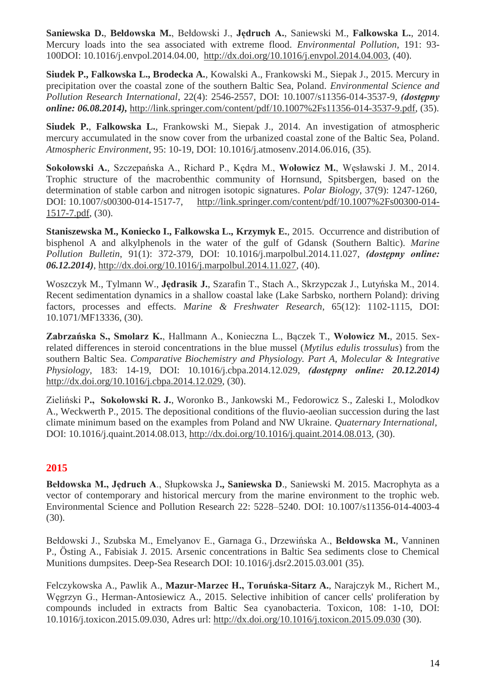**Saniewska D.**, **Bełdowska M.**, Bełdowski J., **Jędruch A.**, Saniewski M., **Falkowska L.**, 2014. Mercury loads into the sea associated with extreme flood. *Environmental Pollution*, 191: 93- 100DOI: 10.1016/j.envpol.2014.04.00, [http://dx.doi.org/10.1016/j.envpol.2014.04.003,](http://dx.doi.org/10.1016/j.envpol.2014.04.003) (40).

**Siudek P., Falkowska L., Brodecka A.**, Kowalski A., Frankowski M., Siepak J., 2015. Mercury in precipitation over the coastal zone of the southern Baltic Sea, Poland. *Environmental Science and Pollution Research International*, 22(4): 2546-2557, DOI: 10.1007/s11356-014-3537-9, *(dostępny online: 06.08.2014),* [http://link.springer.com/content/pdf/10.1007%2Fs11356-014-3537-9.pdf,](http://link.springer.com/content/pdf/10.1007%2Fs11356-014-3537-9.pdf) (35).

**[Siudek](http://expertus.bg.univ.gda.pl/cgi-bin/expertus.cgi) P.**, **[Falkowska](http://expertus.bg.univ.gda.pl/cgi-bin/expertus.cgi) L.**, Frankowski M., Siepak J., 2014. An investigation of atmospheric mercury accumulated in the snow cover from the urbanized coastal zone of the Baltic Sea, Poland. *Atmospheric Environment*, 95: 10-19, DOI: [10.1016/j.atmosenv.2014.06.016,](http://dx.doi.org/10.1016/j.atmosenv.2014.06.016) (35).

**Sokołowski A.**, Szczepańska A., Richard P., Kędra M., **Wołowicz M.**, Węsławski J. M., 2014. Trophic structure of the macrobenthic community of Hornsund, Spitsbergen, based on the determination of stable carbon and nitrogen isotopic signatures. *Polar Biology*, 37(9): 1247-1260, DOI: 10.1007/s00300-014-1517-7, [http://link.springer.com/content/pdf/10.1007%2Fs00300-014-](http://link.springer.com/content/pdf/10.1007%2Fs00300-014-1517-7.pdf) [1517-7.pdf,](http://link.springer.com/content/pdf/10.1007%2Fs00300-014-1517-7.pdf) (30).

**Staniszewska M., Koniecko I., Falkowska L., Krzymyk E.**, 2015. Occurrence and distribution of bisphenol A and alkylphenols in the water of the gulf of Gdansk (Southern Baltic). *Marine Pollution Bulletin*, 91(1): 372-379, DOI: 10.1016/j.marpolbul.2014.11.027, *(dostępny online: 06.12.2014)*, [http://dx.doi.org/10.1016/j.marpolbul.2014.11.027,](http://dx.doi.org/10.1016/j.marpolbul.2014.11.027) (40).

Woszczyk M., Tylmann W., **Jędrasik J.**, Szarafin T., Stach A., Skrzypczak J., Lutyńska M., 2014. Recent sedimentation dynamics in a shallow coastal lake (Lake Sarbsko, northern Poland): driving factors, processes and effects. *Marine & Freshwater Research*, 65(12): 1102-1115, DOI: 10.1071/MF13336, (30).

**Zabrzańska S., Smolarz K.**, Hallmann A., Konieczna L., Bączek T., **Wołowicz M.**, 2015. Sexrelated differences in steroid concentrations in the blue mussel (*Mytilus edulis trossulus*) from the southern Baltic Sea. *Comparative Biochemistry and Physiology. Part A, Molecular & Integrative Physiology,* 183: 14-19, DOI: 10.1016/j.cbpa.2014.12.029, *(dostępny online: 20.12.2014)* [http://dx.doi.org/10.1016/j.cbpa.2014.12.029,](http://dx.doi.org/10.1016/j.cbpa.2014.12.029) (30).

Zieliński P**., Sokołowski R. J.**, Woronko B., Jankowski M., Fedorowicz S., Zaleski I., Molodkov A., Weckwerth P., 2015. The depositional conditions of the fluvio-aeolian succession during the last climate minimum based on the examples from Poland and NW Ukraine. *Quaternary International*, DOI: 10.1016/j.quaint.2014.08.013, [http://dx.doi.org/10.1016/j.quaint.2014.08.013,](http://dx.doi.org/10.1016/j.quaint.2014.08.013) (30).

## **2015**

**Bełdowska M., Jędruch A**., Słupkowska J**., Saniewska D**., Saniewski M. 2015. Macrophyta as a vector of contemporary and historical mercury from the marine environment to the trophic web. Environmental Science and Pollution Research 22: 5228–5240. DOI: 10.1007/s11356-014-4003-4 (30).

Bełdowski J., Szubska M., Emelyanov E., Garnaga G., Drzewińska A., **Bełdowska M.**, Vanninen P., Östing A., Fabisiak J. 2015. Arsenic concentrations in Baltic Sea sediments close to Chemical Munitions dumpsites. Deep-Sea Research DOI: 10.1016/j.dsr2.2015.03.001 (35).

Felczykowska A., Pawlik A., **Mazur-Marzec H., Toruńska-Sitarz A.**, Narajczyk M., Richert M., Węgrzyn G., Herman-Antosiewicz A., 2015. Selective inhibition of cancer cells' proliferation by compounds included in extracts from Baltic Sea cyanobacteria. Toxicon, 108: 1-10, DOI: 10.1016/j.toxicon.2015.09.030, Adres url:<http://dx.doi.org/10.1016/j.toxicon.2015.09.030> (30).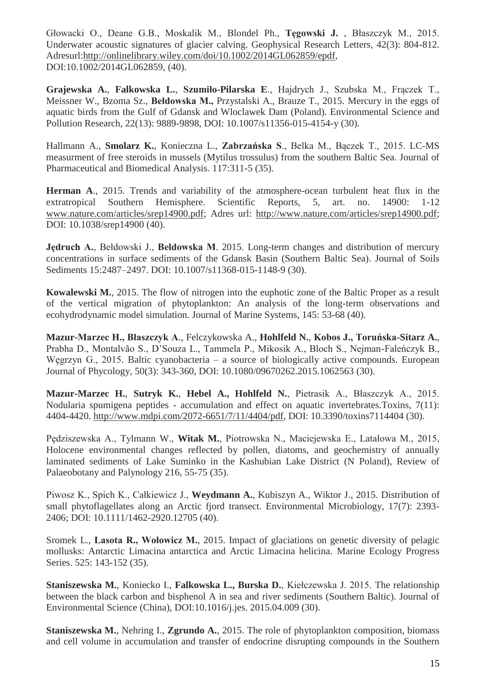Głowacki O., Deane G.B., Moskalik M., Blondel Ph., **Tęgowski J.** , Błaszczyk M., 2015. Underwater acoustic signatures of glacier calving. Geophysical Research Letters, 42(3): 804-812. Adresurl[:http://onlinelibrary.wiley.com/doi/10.1002/2014GL062859/epdf,](http://onlinelibrary.wiley.com/doi/10.1002/2014GL062859/epdf) DOI:10.1002/2014GL062859, (40).

**Grajewska A.**, **Falkowska L.**, **Szumiło-Pilarska E**., Hajdrych J., Szubska M., Frączek T., Meissner W., Bzoma Sz., **Bełdowska M.,** Przystalski A., Brauze T., 2015. Mercury in the eggs of aquatic birds from the Gulf of Gdansk and Wloclawek Dam (Poland). Environmental Science and Pollution Research, 22(13): 9889-9898, DOI: 10.1007/s11356-015-4154-y (30).

Hallmann A., **Smolarz K.**, Konieczna L., **Zabrzańska S**., Belka M., Bączek T., 2015. LC-MS measurment of free steroids in mussels (Mytilus trossulus) from the southern Baltic Sea. Journal of Pharmaceutical and Biomedical Analysis. 117:311-5 (35).

**Herman A**., 2015. Trends and variability of the atmosphere-ocean turbulent heat flux in the extratropical Southern Hemisphere. Scientific Reports, 5, art. no. 14900: 1-12 [www.nature.com/articles/srep14900.pdf;](http://www.nature.com/articles/srep14900.pdf) Adres url: [http://www.nature.com/articles/srep14900.pdf;](http://www.nature.com/articles/srep14900.pdf) DOI: 10.1038/srep14900 (40).

**Jędruch A.**, Bełdowski J., **Bełdowska M**. 2015. Long-term changes and distribution of mercury concentrations in surface sediments of the Gdansk Basin (Southern Baltic Sea). Journal of Soils Sediments 15:2487–2497. DOI: 10.1007/s11368-015-1148-9 (30).

**Kowalewski M.**, 2015. The flow of nitrogen into the euphotic zone of the Baltic Proper as a result of the vertical migration of phytoplankton: An analysis of the long-term observations and ecohydrodynamic model simulation. Journal of Marine Systems, 145: 53-68 (40).

**Mazur-Marzec H., Błaszczyk A**., Felczykowska A., **Hohlfeld N.**, **Kobos J., Toruńska-Sitarz A.**, Prabha D., Montalvão S., D'Souza L., Tammela P., Mikosik A., Bloch S., Nejman-Faleńczyk B., Węgrzyn G., 2015. Baltic cyanobacteria – a source of biologically active compounds. European Journal of Phycology, 50(3): 343-360, DOI: 10.1080/09670262.2015.1062563 (30).

**Mazur-Marzec H.**, **Sutryk K.**, **Hebel A., Hohlfeld N.**, Pietrasik A., Błaszczyk A., 2015. Nodularia spumigena peptides - accumulation and effect on aquatic invertebrates.Toxins, 7(11): 4404-4420. [http://www.mdpi.com/2072-6651/7/11/4404/pdf,](http://www.mdpi.com/2072-6651/7/11/4404/pdf) DOI: 10.3390/toxins7114404 (30).

Pędziszewska A., Tylmann W., **Witak M.**, Piotrowska N., Maciejewska E., Latałowa M., 2015, Holocene environmental changes reflected by pollen, diatoms, and geochemistry of annually laminated sediments of Lake Suminko in the Kashubian Lake District (N Poland), Review of Palaeobotany and Palynology 216, 55-75 (35).

Piwosz K., Spich K., Całkiewicz J., **Weydmann A.**, Kubiszyn A., Wiktor J., 2015. Distribution of small phytoflagellates along an Arctic fjord transect. Environmental Microbiology, 17(7): 2393- 2406; DOI: 10.1111/1462-2920.12705 (40).

Sromek L., **Lasota R., Wołowicz M.**, 2015. Impact of glaciations on genetic diversity of pelagic mollusks: Antarctic Limacina antarctica and Arctic Limacina helicina. Marine Ecology Progress Series. 525: 143-152 (35).

**Staniszewska M.**, Koniecko I., **Falkowska L., Burska D.**, Kiełczewska J. 2015. The relationship between the black carbon and bisphenol A in sea and river sediments (Southern Baltic). Journal of Environmental Science (China), DOI:10.1016/j.jes. 2015.04.009 (30).

**Staniszewska M.**, Nehring I., **Zgrundo A.**, 2015. The role of phytoplankton composition, biomass and cell volume in accumulation and transfer of endocrine disrupting compounds in the Southern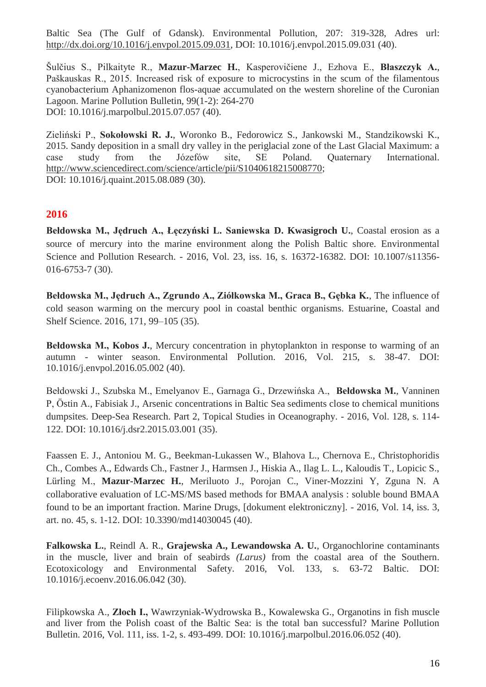Baltic Sea (The Gulf of Gdansk). Environmental Pollution, 207: 319-328, Adres url: [http://dx.doi.org/10.1016/j.envpol.2015.09.031,](http://dx.doi.org/10.1016/j.envpol.2015.09.031) DOI: 10.1016/j.envpol.2015.09.031 (40).

Šulčius S., Pilkaityte R., **Mazur-Marzec H.**, Kasperovičiene J., Ezhova E., **Błaszczyk A.**, Paškauskas R., 2015. Increased risk of exposure to microcystins in the scum of the filamentous cyanobacterium Aphanizomenon flos-aquae accumulated on the western shoreline of the Curonian Lagoon. Marine Pollution Bulletin, 99(1-2): 264-270 DOI: 10.1016/j.marpolbul.2015.07.057 (40).

Zieliński P., **Sokołowski R. J.**, Woronko B., Fedorowicz S., Jankowski M., Standzikowski K., 2015. Sandy deposition in a small dry valley in the periglacial zone of the Last Glacial Maximum: a case study from the Józefów site, SE Poland. Quaternary International. [http://www.sciencedirect.com/science/article/pii/S1040618215008770;](http://www.sciencedirect.com/science/article/pii/S1040618215008770) DOI: 10.1016/j.quaint.2015.08.089 (30).

## **2016**

**Bełdowska M., Jędruch A., Łęczyński L. Saniewska D. Kwasigroch U.**, Coastal erosion as a source of mercury into the marine environment along the Polish Baltic shore. Environmental Science and Pollution Research. - 2016, Vol. 23, iss. 16, s. 16372-16382. DOI: 10.1007/s11356- 016-6753-7 (30).

**Bełdowska M., Jędruch A., Zgrundo A., Ziółkowska M., Graca B., Gębka K.**, The influence of cold season warming on the mercury pool in coastal benthic organisms. Estuarine, Coastal and Shelf Science. 2016, 171, 99–105 (35).

**Bełdowska M., Kobos J.**, Mercury concentration in phytoplankton in response to warming of an autumn - winter season. Environmental Pollution. 2016, Vol. 215, s. 38-47. DOI: 10.1016/j.envpol.2016.05.002 (40).

Bełdowski J., Szubska M., Emelyanov E., Garnaga G., Drzewińska A., **Bełdowska M.**, Vanninen P, Östin A., Fabisiak J., Arsenic concentrations in Baltic Sea sediments close to chemical munitions dumpsites. Deep-Sea Research. Part 2, Topical Studies in Oceanography. - 2016, Vol. 128, s. 114- 122. DOI: 10.1016/j.dsr2.2015.03.001 (35).

Faassen E. J., Antoniou M. G., Beekman-Lukassen W., Blahova L., Chernova E., Christophoridis Ch., Combes A., Edwards Ch., Fastner J., Harmsen J., Hiskia A., Ilag L. L., Kaloudis T., Lopicic S., Lürling M., **Mazur-Marzec H.**, Meriluoto J., Porojan C., Viner-Mozzini Y, Zguna N. A collaborative evaluation of LC-MS/MS based methods for BMAA analysis : soluble bound BMAA found to be an important fraction. Marine Drugs, [dokument elektroniczny]. - 2016, Vol. 14, iss. 3, art. no. 45, s. 1-12. DOI: 10.3390/md14030045 (40).

**Falkowska L.**, Reindl A. R., **Grajewska A., Lewandowska A. U.**, Organochlorine contaminants in the muscle, liver and brain of seabirds *(Larus)* from the coastal area of the Southern. Ecotoxicology and Environmental Safety. 2016, Vol. 133, s. 63-72 Baltic. DOI: 10.1016/j.ecoenv.2016.06.042 (30).

Filipkowska A., **Złoch I.,** Wawrzyniak-Wydrowska B., Kowalewska G., Organotins in fish muscle and liver from the Polish coast of the Baltic Sea: is the total ban successful? Marine Pollution Bulletin. 2016, Vol. 111, iss. 1-2, s. 493-499. DOI: 10.1016/j.marpolbul.2016.06.052 (40).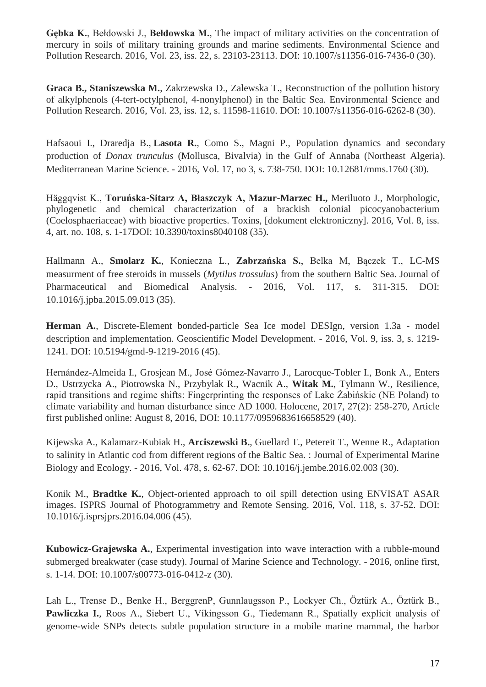**Gębka K.**, Bełdowski J., **Bełdowska M.**, The impact of military activities on the concentration of mercury in soils of military training grounds and marine sediments. Environmental Science and Pollution Research. 2016, Vol. 23, iss. 22, s. 23103-23113. DOI: 10.1007/s11356-016-7436-0 (30).

**Graca B., Staniszewska M.**, Zakrzewska D., Zalewska T., Reconstruction of the pollution history of alkylphenols (4-tert-octylphenol, 4-nonylphenol) in the Baltic Sea. Environmental Science and Pollution Research. 2016, Vol. 23, iss. 12, s. 11598-11610. DOI: 10.1007/s11356-016-6262-8 (30).

Hafsaoui I., Draredja B., **Lasota R.**, Como S., Magni P., Population dynamics and secondary production of *Donax trunculus* (Mollusca, Bivalvia) in the Gulf of Annaba (Northeast Algeria). Mediterranean Marine Science. - 2016, Vol. 17, no 3, s. 738-750. DOI: 10.12681/mms.1760 (30).

Häggqvist K., **Toruńska-Sitarz A, Błaszczyk A, Mazur-Marzec H.,** Meriluoto J., Morphologic, phylogenetic and chemical characterization of a brackish colonial picocyanobacterium (Coelosphaeriaceae) with bioactive properties. Toxins, [dokument elektroniczny]. 2016, Vol. 8, iss. 4, art. no. 108, s. 1-17DOI: 10.3390/toxins8040108 (35).

Hallmann A., **Smolarz K.**, Konieczna L., **Zabrzańska S.**, Belka M, Bączek T., LC-MS measurment of free steroids in mussels (*Mytilus trossulus*) from the southern Baltic Sea. Journal of Pharmaceutical and Biomedical Analysis. - 2016, Vol. 117, s. 311-315. DOI: 10.1016/j.jpba.2015.09.013 (35).

**Herman A.**, Discrete-Element bonded-particle Sea Ice model DESIgn, version 1.3a - model description and implementation. Geoscientific Model Development. - 2016, Vol. 9, iss. 3, s. 1219- 1241. DOI: 10.5194/gmd-9-1219-2016 (45).

Hernández-Almeida I., Grosjean M., José Gómez-Navarro J., Larocque-Tobler I., Bonk A., Enters D., Ustrzycka A., Piotrowska N., Przybylak R., Wacnik A., **Witak M.**, Tylmann W., Resilience, rapid transitions and regime shifts: Fingerprinting the responses of Lake Żabińskie (NE Poland) to climate variability and human disturbance since AD 1000. Holocene, 2017, 27(2): 258-270, Article first published online: August 8, 2016, DOI: 10.1177/0959683616658529 (40).

Kijewska A., Kalamarz-Kubiak H., **Arciszewski B.**, Guellard T., Petereit T., Wenne R., Adaptation to salinity in Atlantic cod from different regions of the Baltic Sea. : Journal of Experimental Marine Biology and Ecology. - 2016, Vol. 478, s. 62-67. DOI: 10.1016/j.jembe.2016.02.003 (30).

Konik M., **Bradtke K.**, Object-oriented approach to oil spill detection using ENVISAT ASAR images. ISPRS Journal of Photogrammetry and Remote Sensing. 2016, Vol. 118, s. 37-52. DOI: 10.1016/j.isprsjprs.2016.04.006 (45).

**Kubowicz-Grajewska A.**, Experimental investigation into wave interaction with a rubble-mound submerged breakwater (case study). Journal of Marine Science and Technology. - 2016, online first, s. 1-14. DOI: 10.1007/s00773-016-0412-z (30).

Lah L., Trense D., Benke H., BerggrenP, Gunnlaugsson P., Lockyer Ch., Öztürk A., Öztürk B., **Pawliczka I.**, Roos A., Siebert U., Víkingsson G., Tiedemann R., Spatially explicit analysis of genome-wide SNPs detects subtle population structure in a mobile marine mammal, the harbor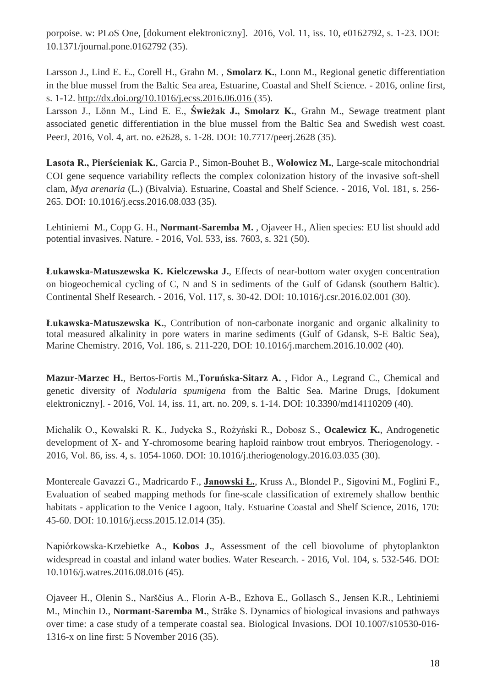porpoise. w: PLoS One, [dokument elektroniczny]. 2016, Vol. 11, iss. 10, e0162792, s. 1-23. DOI: 10.1371/journal.pone.0162792 (35).

Larsson J., Lind E. E., Corell H., Grahn M. , **Smolarz K.**, Lonn M., Regional genetic differentiation in the blue mussel from the Baltic Sea area, Estuarine, Coastal and Shelf Science. - 2016, online first, s. 1-12. <http://dx.doi.org/10.1016/j.ecss.2016.06.016> (35).

Larsson J., Lönn M., Lind E. E., **Świeżak J., Smolarz K.**, Grahn M., Sewage treatment plant associated genetic differentiation in the blue mussel from the Baltic Sea and Swedish west coast. PeerJ, 2016, Vol. 4, art. no. e2628, s. 1-28. DOI: 10.7717/peerj.2628 (35).

**Lasota R., Pierścieniak K.**, Garcia P., Simon-Bouhet B., **Wołowicz M.**, Large-scale mitochondrial COI gene sequence variability reflects the complex colonization history of the invasive soft-shell clam, *Mya arenaria* (L.) (Bivalvia). Estuarine, Coastal and Shelf Science. - 2016, Vol. 181, s. 256- 265. DOI: 10.1016/j.ecss.2016.08.033 (35).

Lehtiniemi M., Copp G. H., **Normant-Saremba M.** , Ojaveer H., Alien species: EU list should add potential invasives. Nature. - 2016, Vol. 533, iss. 7603, s. 321 (50).

**Łukawska-Matuszewska K. Kielczewska J.**, Effects of near-bottom water oxygen concentration on biogeochemical cycling of C, N and S in sediments of the Gulf of Gdansk (southern Baltic). Continental Shelf Research. - 2016, Vol. 117, s. 30-42. DOI: 10.1016/j.csr.2016.02.001 (30).

**Łukawska-Matuszewska K.**, Contribution of non-carbonate inorganic and organic alkalinity to total measured alkalinity in pore waters in marine sediments (Gulf of Gdansk, S-E Baltic Sea), Marine Chemistry. 2016, Vol. 186, s. 211-220, DOI: 10.1016/j.marchem.2016.10.002 (40).

**Mazur-Marzec H.**, Bertos-Fortis M.,**Toruńska-Sitarz A.** , Fidor A., Legrand C., Chemical and genetic diversity of *Nodularia spumigena* from the Baltic Sea. Marine Drugs, [dokument elektroniczny]. - 2016, Vol. 14, iss. 11, art. no. 209, s. 1-14. DOI: 10.3390/md14110209 (40).

Michalik O., Kowalski R. K., Judycka S., Rożyński R., Dobosz S., **Ocalewicz K.**, Androgenetic development of X- and Y-chromosome bearing haploid rainbow trout embryos. Theriogenology. - 2016, Vol. 86, iss. 4, s. 1054-1060. DOI: 10.1016/j.theriogenology.2016.03.035 (30).

Montereale Gavazzi G., Madricardo F., **Janowski Ł.**, Kruss A., Blondel P., Sigovini M., Foglini F., Evaluation of seabed mapping methods for fine-scale classification of extremely shallow benthic habitats - application to the Venice Lagoon, Italy. Estuarine Coastal and Shelf Science, 2016, 170: 45-60. DOI: 10.1016/j.ecss.2015.12.014 (35).

Napiórkowska-Krzebietke A., **Kobos J.**, Assessment of the cell biovolume of phytoplankton widespread in coastal and inland water bodies. Water Research. - 2016, Vol. 104, s. 532-546. DOI: 10.1016/j.watres.2016.08.016 (45).

Ojaveer H., Olenin S., Narščius A., Florin A-B., Ezhova E., Gollasch S., Jensen K.R., Lehtiniemi M., Minchin D., **Normant-Saremba M.**, Străke S. Dynamics of biological invasions and pathways over time: a case study of a temperate coastal sea. Biological Invasions. DOI 10.1007/s10530-016- 1316-x on line first: 5 November 2016 (35).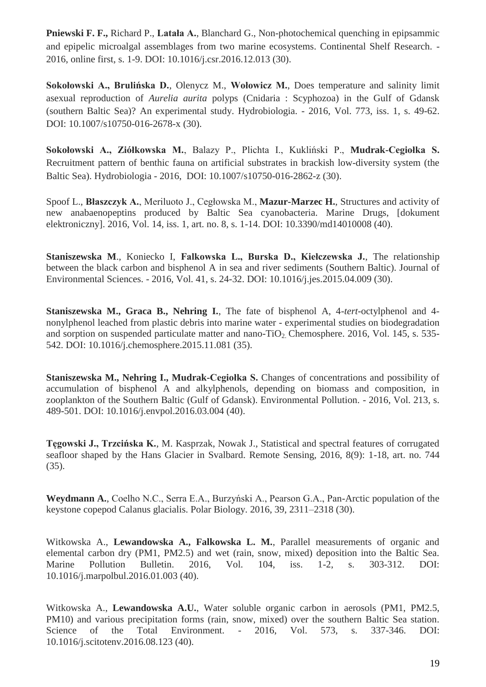**Pniewski F. F.,** Richard P., **Latała A.**, Blanchard G., Non-photochemical quenching in epipsammic and epipelic microalgal assemblages from two marine ecosystems. Continental Shelf Research. - 2016, online first, s. 1-9. DOI: 10.1016/j.csr.2016.12.013 (30).

**Sokołowski A., Brulińska D.**, Olenycz M., **Wołowicz M.**, Does temperature and salinity limit asexual reproduction of *Aurelia aurita* polyps (Cnidaria : Scyphozoa) in the Gulf of Gdansk (southern Baltic Sea)? An experimental study. Hydrobiologia. - 2016, Vol. 773, iss. 1, s. 49-62. DOI: 10.1007/s10750-016-2678-x (30).

**Sokołowski A., Ziółkowska M.**, Balazy P., Plichta I., Kukliński P., **Mudrak-Cegiołka S.** Recruitment pattern of benthic fauna on artificial substrates in brackish low-diversity system (the Baltic Sea). Hydrobiologia - 2016, DOI: 10.1007/s10750-016-2862-z (30).

Spoof L., **Błaszczyk A.**, Meriluoto J., Cegłowska M., **Mazur-Marzec H.**, Structures and activity of new anabaenopeptins produced by Baltic Sea cyanobacteria. Marine Drugs, [dokument elektroniczny]. 2016, Vol. 14, iss. 1, art. no. 8, s. 1-14. DOI: 10.3390/md14010008 (40).

**Staniszewska M**., Koniecko I, **Falkowska L., Burska D., Kiełczewska J.**, The relationship between the black carbon and bisphenol A in sea and river sediments (Southern Baltic). Journal of Environmental Sciences. - 2016, Vol. 41, s. 24-32. DOI: 10.1016/j.jes.2015.04.009 (30).

**Staniszewska M., Graca B., Nehring I.**, The fate of bisphenol A, 4-*tert*-octylphenol and 4 nonylphenol leached from plastic debris into marine water - experimental studies on biodegradation and sorption on suspended particulate matter and nano-TiO<sub>2</sub>. Chemosphere. 2016, Vol. 145, s. 535-542. DOI: 10.1016/j.chemosphere.2015.11.081 (35).

**Staniszewska M., Nehring I., Mudrak-Cegiołka S.** Changes of concentrations and possibility of accumulation of bisphenol A and alkylphenols, depending on biomass and composition, in zooplankton of the Southern Baltic (Gulf of Gdansk). Environmental Pollution. - 2016, Vol. 213, s. 489-501. DOI: 10.1016/j.envpol.2016.03.004 (40).

**Tęgowski J., Trzcińska K.**, M. Kasprzak, Nowak J., Statistical and spectral features of corrugated seafloor shaped by the Hans Glacier in Svalbard. Remote Sensing, 2016, 8(9): 1-18, art. no. 744 (35).

**Weydmann A.**, Coelho N.C., Serra E.A., Burzyński A., Pearson G.A., Pan-Arctic population of the keystone copepod Calanus glacialis. Polar Biology. 2016, 39, 2311–2318 (30).

Witkowska A., **Lewandowska A., Falkowska L. M.**, Parallel measurements of organic and elemental carbon dry (PM1, PM2.5) and wet (rain, snow, mixed) deposition into the Baltic Sea. Marine Pollution Bulletin. 2016, Vol. 104, iss. 1-2, s. 303-312. DOI: 10.1016/j.marpolbul.2016.01.003 (40).

Witkowska A., **Lewandowska A.U.**, Water soluble organic carbon in aerosols (PM1, PM2.5, PM10) and various precipitation forms (rain, snow, mixed) over the southern Baltic Sea station. Science of the Total Environment. - 2016, Vol. 573, s. 337-346. DOI: 10.1016/j.scitotenv.2016.08.123 (40).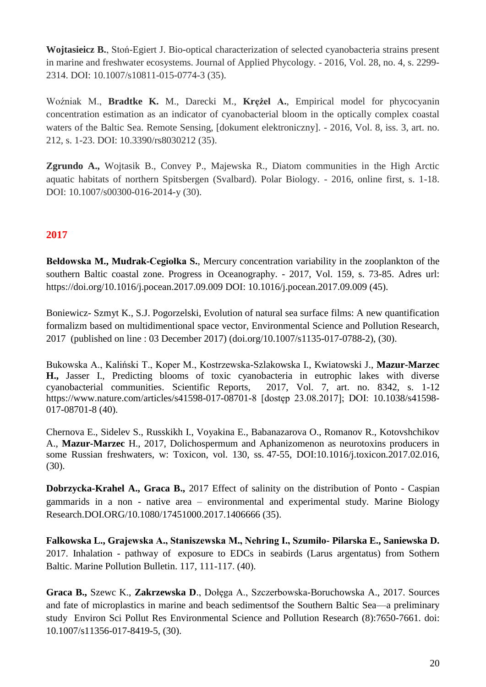**Wojtasieicz B.**, Stoń-Egiert J. Bio-optical characterization of selected cyanobacteria strains present in marine and freshwater ecosystems. Journal of Applied Phycology. - 2016, Vol. 28, no. 4, s. 2299- 2314. DOI: 10.1007/s10811-015-0774-3 (35).

Woźniak M., **Bradtke K.** M., Darecki M., **Krężel A.**, Empirical model for phycocyanin concentration estimation as an indicator of cyanobacterial bloom in the optically complex coastal waters of the Baltic Sea. Remote Sensing, [dokument elektroniczny]. - 2016, Vol. 8, iss. 3, art. no. 212, s. 1-23. DOI: 10.3390/rs8030212 (35).

**Zgrundo A.,** Wojtasik B., Convey P., Majewska R., Diatom communities in the High Arctic aquatic habitats of northern Spitsbergen (Svalbard). Polar Biology. - 2016, online first, s. 1-18. DOI: 10.1007/s00300-016-2014-y (30).

## **2017**

**[Bełdowska](http://expertus.bg.ug.edu.pl/cgi-bin/expertus.cgi) M., [Mudrak-Cegiołka](http://expertus.bg.ug.edu.pl/cgi-bin/expertus.cgi) S.**, Mercury concentration variability in the zooplankton of the southern Baltic coastal zone. Progress in Oceanography. - 2017, Vol. 159, s. 73-85. Adres url: <https://doi.org/10.1016/j.pocean.2017.09.009> DOI: [10.1016/j.pocean.2017.09.009](http://dx.doi.org/10.1016/j.pocean.2017.09.009) (45).

Boniewicz- Szmyt K., S.J. Pogorzelski, Evolution of natural sea surface films: A new quantification formalizm based on multidimentional space vector, Environmental Science and Pollution Research, 2017 (published on line : 03 December 2017) (doi.org/10.1007/s1135-017-0788-2), (30).

Bukowska A., Kaliński T., Koper M., Kostrzewska-Szlakowska I., Kwiatowski J., **Mazur-Marzec H.,** Jasser I., Predicting blooms of toxic cyanobacteria in eutrophic lakes with diverse cyanobacterial communities. Scientific Reports, 2017, Vol. 7, art. no. 8342, s. 1-12 https://www.nature.com/articles/s41598-017-08701-8 [dostęp 23.08.2017]; DOI: [10.1038/s41598-](http://dx.doi.org/10.1038/s41598-017-08701-8) [017-08701-8](http://dx.doi.org/10.1038/s41598-017-08701-8) (40).

Chernova E., Sidelev S., Russkikh I., Voyakina E., Babanazarova O., Romanov R., Kotovshchikov A., **Mazur-Marzec** H., 2017, Dolichospermum and Aphanizomenon as neurotoxins producers in some Russian freshwaters, w: Toxicon, vol. 130, ss. 47-55, DOI:10.1016/j.toxicon.2017.02.016, (30).

**Dobrzycka-Krahel A., Graca B.,** 2017 Effect of salinity on the distribution of Ponto - Caspian gammarids in a non - native area – environmental and experimental study. Marine Biology Research.DOI.ORG/10.1080/17451000.2017.1406666 (35).

**Falkowska L., Grajewska A., Staniszewska M., Nehring I., Szumiło- Pilarska E., Saniewska D.** 2017. Inhalation - pathway of exposure to EDCs in seabirds (Larus argentatus) from Sothern Baltic. Marine Pollution Bulletin. 117, 111-117. (40).

**Graca B.,** Szewc K., **Zakrzewska D**., Dołęga A., Szczerbowska-Boruchowska A., 2017. Sources and fate of microplastics in marine and beach sedimentsof the Southern Baltic Sea—a preliminary study Environ Sci Pollut Res [Environmental Science and Pollution Research](https://link.springer.com/journal/11356) (8):7650-7661. doi: 10.1007/s11356-017-8419-5, (30).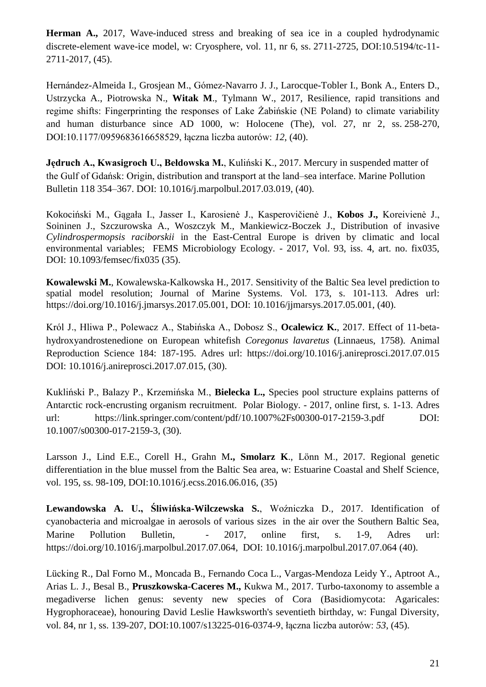**Herman A.,** 2017, Wave-induced stress and breaking of sea ice in a coupled hydrodynamic discrete-element wave-ice model, w: Cryosphere, vol. 11, nr 6, ss. 2711-2725, DOI:10.5194/tc-11- 2711-2017, (45).

Hernández-Almeida I., Grosjean M., Gómez-Navarro J. J., Larocque-Tobler I., Bonk A., Enters D., Ustrzycka A., Piotrowska N., **Witak M**., Tylmann W., 2017, Resilience, rapid transitions and regime shifts: Fingerprinting the responses of Lake Żabińskie (NE Poland) to climate variability and human disturbance since AD 1000, w: Holocene (The), vol. 27, nr 2, ss. 258-270, DOI:10.1177/0959683616658529, łączna liczba autorów: *12*, (40).

**Jędruch A., Kwasigroch U., Bełdowska M.**, Kuliński K., 2017. Mercury in suspended matter of the Gulf of Gdańsk: Origin, distribution and transport at the land–sea interface. Marine Pollution Bulletin 118 354–367. DOI: 10.1016/j.marpolbul.2017.03.019, (40).

Kokociński M., Gągała I., Jasser I., Karosienė J., Kasperovičienė J., **Kobos J.,** Koreivienė J., Soininen J., Szczurowska A., Woszczyk M., Mankiewicz-Boczek J., Distribution of invasive *Cylindrospermopsis raciborskii* in the East-Central Europe is driven by climatic and local environmental variables; FEMS Microbiology Ecology. - 2017, Vol. 93, iss. 4, art. no. fix035, DOI: [10.1093/femsec/fix035](http://dx.doi.org/10.1093/femsec/fix035) (35).

**[Kowalewski](http://expertus.bg.ug.edu.pl/cgi-bin/expertus.cgi) M.**, Kowalewska-Kalkowska H., 2017. Sensitivity of the Baltic Sea level prediction to spatial model resolution; Journal of Marine Systems. Vol. 173, s. 101-113. Adres url: [https://doi.org/10.1016/j.jmarsys.2017.05.001,](https://doi.org/10.1016/j.jmarsys.2017.05.001) DOI: [10.1016/jjmarsys.2017.05.001,](http://dx.doi.org/10.1016/jjmarsys.2017.05.001) (40).

Król J., Hliwa P., Polewacz A., Stabińska A., Dobosz S., **Ocalewicz K.**, 2017. Effect of 11-betahydroxyandrostenedione on European whitefish *Coregonus lavaretus* (Linnaeus, 1758). Animal Reproduction Science 184: 187-195. Adres url:<https://doi.org/10.1016/j.anireprosci.2017.07.015> DOI: [10.1016/j.anireprosci.2017.07.015,](http://dx.doi.org/10.1016/j.anireprosci.2017.07.015) (30).

Kukliński P., Balazy P., Krzemińska M., **Bielecka L.,** Species pool structure explains patterns of Antarctic rock-encrusting organism recruitment. Polar Biology. - 2017, online first, s. 1-13. Adres url: <https://link.springer.com/content/pdf/10.1007%2Fs00300-017-2159-3.pdf> DOI: [10.1007/s00300-017-2159-3,](http://dx.doi.org/10.1007/s00300-017-2159-3) (30).

Larsson J., Lind E.E., Corell H., Grahn M**., Smolarz K**., Lönn M., 2017. Regional genetic differentiation in the blue mussel from the Baltic Sea area, w: Estuarine Coastal and Shelf Science, vol. 195, ss. 98-109, DOI:10.1016/j.ecss.2016.06.016, (35)

**Lewandowska A. U., Śliwińska-Wilczewska S.**, Woźniczka D., 2017. Identification of cyanobacteria and microalgae in aerosols of various sizes in the air over the Southern Baltic Sea, Marine Pollution Bulletin, - 2017, online first, s. 1-9, Adres url: [https://doi.org/10.1016/j.marpolbul.2017.07.064,](https://doi.org/10.1016/j.marpolbul.2017.07.064) DOI: [10.1016/j.marpolbul.2017.07.064](http://dx.doi.org/10.1016/j.marpolbul.2017.07.064) (40).

Lücking R., Dal Forno M., Moncada B., Fernando Coca L., Vargas-Mendoza Leidy Y., Aptroot A., Arias L. J., Besal B., **Pruszkowska-Caceres M.,** Kukwa M., 2017. Turbo-taxonomy to assemble a megadiverse lichen genus: seventy new species of Cora (Basidiomycota: Agaricales: Hygrophoraceae), honouring David Leslie Hawksworth's seventieth birthday, w: Fungal Diversity, vol. 84, nr 1, ss. 139-207, DOI:10.1007/s13225-016-0374-9, łączna liczba autorów: *53*, (45).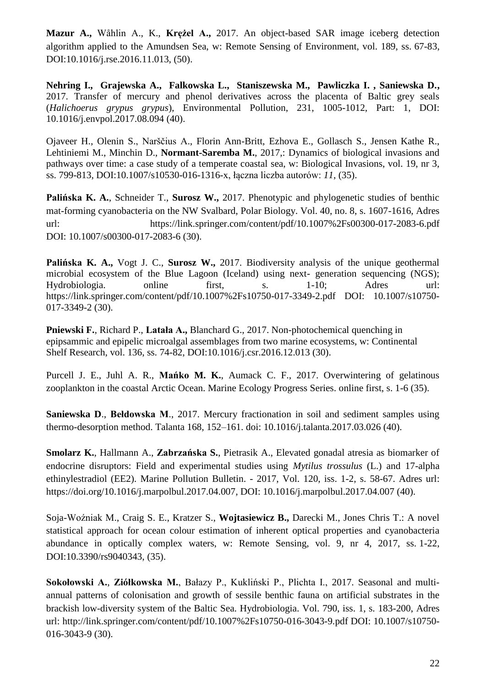**Mazur A.,** Wåhlin A., K., **Krężel A.,** 2017. An object-based SAR image iceberg detection algorithm applied to the Amundsen Sea, w: Remote Sensing of Environment, vol. 189, ss. 67-83, DOI:10.1016/j.rse.2016.11.013, (50).

**Nehring I., Grajewska A., Falkowska L., Staniszewska M., Pawliczka I. , Saniewska D.,** 2017. Transfer of mercury and phenol derivatives across the placenta of Baltic grey seals (*Halichoerus grypus grypus*), Environmental Pollution, 231, 1005-1012, Part: 1, DOI: [10.1016/j.envpol.2017.08.094](http://dx.doi.org/10.1016/j.envpol.2017.08.094) (40).

Ojaveer H., Olenin S., Narščius A., Florin Ann-Britt, Ezhova E., Gollasch S., Jensen Kathe R., Lehtiniemi M., Minchin D., **Normant-Saremba M.**, 2017,: Dynamics of biological invasions and pathways over time: a case study of a temperate coastal sea, w: Biological Invasions, vol. 19, nr 3, ss. 799-813, DOI:10.1007/s10530-016-1316-x, łączna liczba autorów: *11*, (35).

**[Palińska](http://expertus.bg.ug.edu.pl/cgi-bin/expertus.cgi) K. A.**, Schneider T., **[Surosz](http://expertus.bg.ug.edu.pl/cgi-bin/expertus.cgi) W.,** 2017. Phenotypic and phylogenetic studies of benthic mat-forming cyanobacteria on the NW Svalbard, Polar Biology. Vol. 40, no. 8, s. 1607-1616, Adres url: <https://link.springer.com/content/pdf/10.1007%2Fs00300-017-2083-6.pdf> DOI: [10.1007/s00300-017-2083-6](http://dx.doi.org/10.1007/s00300-017-2083-6) (30).

**[Palińska](http://expertus.bg.ug.edu.pl/cgi-bin/expertus.cgi) K. A.,** Vogt J. C., **[Surosz](http://expertus.bg.ug.edu.pl/cgi-bin/expertus.cgi) W.,** 2017. Biodiversity analysis of the unique geothermal microbial ecosystem of the Blue Lagoon (Iceland) using next- generation sequencing (NGS); Hydrobiologia. online first, s. 1-10; Adres url: <https://link.springer.com/content/pdf/10.1007%2Fs10750-017-3349-2.pdf> DOI: [10.1007/s10750-](http://dx.doi.org/10.1007/s10750-017-3349-2) [017-3349-2](http://dx.doi.org/10.1007/s10750-017-3349-2) (30).

**Pniewski F.**, Richard P., **Latała A.,** Blanchard G., 2017. Non-photochemical quenching in epipsammic and epipelic microalgal assemblages from two marine ecosystems, w: Continental Shelf Research, vol. 136, ss. 74-82, DOI:10.1016/j.csr.2016.12.013 (30).

Purcell J. E., Juhl A. R., **Mańko M. K.**, Aumack C. F., 2017. Overwintering of gelatinous zooplankton in the coastal Arctic Ocean. Marine Ecology Progress Series. online first, s. 1-6 (35).

**Saniewska D**., **Bełdowska M**., 2017. Mercury fractionation in soil and sediment samples using thermo-desorption method. Talanta 168, 152–161. doi: 10.1016/j.talanta.2017.03.026 (40).

**[Smolarz](http://expertus.bg.ug.edu.pl/cgi-bin/expertus.cgi) K.**, Hallmann A., **[Zabrzańska](http://expertus.bg.ug.edu.pl/cgi-bin/expertus.cgi) S.**, [Pietrasik](http://expertus.bg.ug.edu.pl/cgi-bin/expertus.cgi) A., Elevated gonadal atresia as biomarker of endocrine disruptors: Field and experimental studies using *Mytilus trossulus* (L.) and 17-alpha ethinylestradiol (EE2). Marine Pollution Bulletin. - 2017, Vol. 120, iss. 1-2, s. 58-67. Adres url: [https://doi.org/10.1016/j.marpolbul.2017.04.007,](https://doi.org/10.1016/j.marpolbul.2017.04.007) DOI: [10.1016/j.marpolbul.2017.04.007](http://dx.doi.org/10.1016/j.marpolbul.2017.04.007) (40).

Soja-Woźniak M., Craig S. E., Kratzer S., **Wojtasiewicz B.,** Darecki M., Jones Chris T.: A novel statistical approach for ocean colour estimation of inherent optical properties and cyanobacteria abundance in optically complex waters, w: Remote Sensing, vol. 9, nr 4, 2017, ss. 1-22, DOI:10.3390/rs9040343, (35).

**Sokołowski A.**, **Ziółkowska M.**, Bałazy P., Kukliński P., Plichta I., 2017. Seasonal and multiannual patterns of colonisation and growth of sessile benthic fauna on artificial substrates in the brackish low-diversity system of the Baltic Sea. Hydrobiologia. Vol. 790, iss. 1, s. 183-200, Adres url:<http://link.springer.com/content/pdf/10.1007%2Fs10750-016-3043-9.pdf> DOI: [10.1007/s10750-](http://dx.doi.org/10.1007/s10750-016-3043-9) [016-3043-9](http://dx.doi.org/10.1007/s10750-016-3043-9) (30).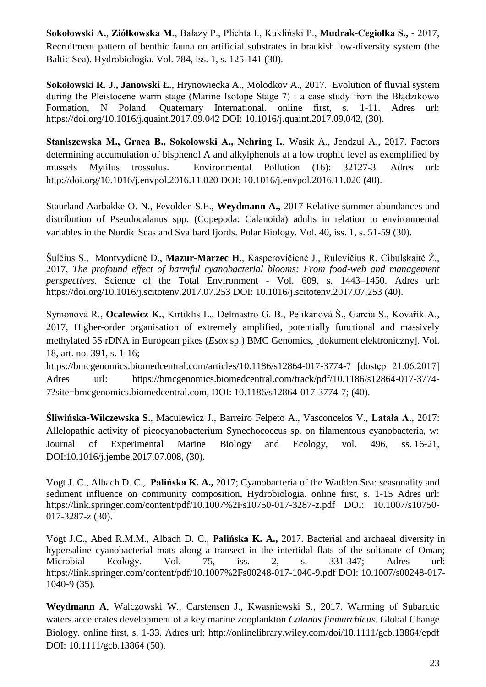**Sokołowski A.**, **Ziółkowska M.**, Bałazy P., Plichta I., Kukliński P., **Mudrak-Cegiołka S.,** - 2017, Recruitment pattern of benthic fauna on artificial substrates in brackish low-diversity system (the Baltic Sea). Hydrobiologia. Vol. 784, iss. 1, s. 125-141 (30).

**[Sokołowski](http://expertus.bg.ug.edu.pl/cgi-bin/expertus.cgi) R. J., [Janowski](http://expertus.bg.ug.edu.pl/cgi-bin/expertus.cgi) Ł.**, Hrynowiecka A., Molodkov A., 2017. Evolution of fluvial system during the Pleistocene warm stage (Marine Isotope Stage 7) : a case study from the Błądzikowo Formation, N Poland. Quaternary International. online first, s. 1-11. Adres url: <https://doi.org/10.1016/j.quaint.2017.09.042> DOI: [10.1016/j.quaint.2017.09.042,](http://dx.doi.org/10.1016/j.quaint.2017.09.042) (30).

**Staniszewska M., Graca B., Sokołowski A., Nehring I.**, Wasik A., Jendzul A., 2017. Factors determining accumulation of bisphenol A and alkylphenols at a low trophic level as exemplified by mussels Mytilus trossulus. Environmental Pollution (16): 32127-3. Adres url: <http://doi.org/10.1016/j.envpol.2016.11.020> DOI: [10.1016/j.envpol.2016.11.020](http://dx.doi.org/10.1016/j.envpol.2016.11.020) (40).

Staurland Aarbakke O. N., Fevolden S.E., **Weydmann A.,** 2017 Relative summer abundances and distribution of Pseudocalanus spp. (Copepoda: Calanoida) adults in relation to environmental variables in the Nordic Seas and Svalbard fjords. Polar Biology. Vol. 40, iss. 1, s. 51-59 (30).

Šulčius S., Montvydienė D., **Mazur-Marzec H**., Kasperovičienė J., Rulevičius R, Cibulskaitė Ž., 2017, *The profound effect of harmful cyanobacterial blooms: From food-web and management perspectives*. Science of the Total Environment - Vol. 609, s. 1443–1450. Adres url: <https://doi.org/10.1016/j.scitotenv.2017.07.253> DOI: [10.1016/j.scitotenv.2017.07.253](http://dx.doi.org/10.1016/j.scitotenv.2017.07.253) (40).

Symonová R., **[Ocalewicz](http://expertus.bg.ug.edu.pl/cgi-bin/expertus.cgi) K.**, Kirtiklis L., Delmastro G. B., Pelikánová Š., Garcia S., Kovařík A., 2017, Higher-order organisation of extremely amplified, potentially functional and massively methylated 5S rDNA in European pikes (*Esox* sp.) BMC Genomics, [dokument elektroniczny]. Vol. 18, art. no. 391, s. 1-16;

https://bmcgenomics.biomedcentral.com/articles/10.1186/s12864-017-3774-7 [dostęp 21.06.2017] Adres url: [https://bmcgenomics.biomedcentral.com/track/pdf/10.1186/s12864-017-3774-](https://bmcgenomics.biomedcentral.com/track/pdf/10.1186/s12864-017-3774-7?site=bmcgenomics.biomedcentral.com) [7?site=bmcgenomics.biomedcentral.com,](https://bmcgenomics.biomedcentral.com/track/pdf/10.1186/s12864-017-3774-7?site=bmcgenomics.biomedcentral.com) DOI: [10.1186/s12864-017-3774-7;](http://dx.doi.org/10.1186/s12864-017-3774-7) (40).

**Śliwińska-Wilczewska S.**, Maculewicz J., Barreiro Felpeto A., Vasconcelos V., **Latała A.**, 2017: Allelopathic activity of picocyanobacterium Synechococcus sp. on filamentous cyanobacteria, w: Journal of Experimental Marine Biology and Ecology, vol. 496, ss. 16-21, DOI:10.1016/j.jembe.2017.07.008, (30).

Vogt J. C., Albach D. C., **[Palińska](http://expertus.bg.ug.edu.pl/cgi-bin/expertus.cgi) K. A.,** 2017; Cyanobacteria of the Wadden Sea: seasonality and sediment influence on community composition, Hydrobiologia. online first, s. 1-15 Adres url: <https://link.springer.com/content/pdf/10.1007%2Fs10750-017-3287-z.pdf> DOI: [10.1007/s10750-](http://dx.doi.org/10.1007/s10750-017-3287-z) [017-3287-z](http://dx.doi.org/10.1007/s10750-017-3287-z) (30).

Vogt J.C., Abed R.M.M., Albach D. C., **[Palińska](http://expertus.bg.ug.edu.pl/cgi-bin/expertus.cgi) K. A.,** 2017. Bacterial and archaeal diversity in hypersaline cyanobacterial mats along a transect in the intertidal flats of the sultanate of Oman; Microbial Ecology. Vol. 75, iss. 2, s. 331-347; Adres url: <https://link.springer.com/content/pdf/10.1007%2Fs00248-017-1040-9.pdf> DOI: [10.1007/s00248-017-](http://dx.doi.org/10.1007/s00248-017-1040-9) [1040-9](http://dx.doi.org/10.1007/s00248-017-1040-9) (35).

**Weydmann A**, Walczowski W., Carstensen J., Kwasniewski S., 2017. Warming of Subarctic waters accelerates development of a key marine zooplankton *Calanus finmarchicus*. Global Change Biology. online first, s. 1-33. Adres url:<http://onlinelibrary.wiley.com/doi/10.1111/gcb.13864/epdf> DOI: [10.1111/gcb.13864](http://dx.doi.org/10.1111/gcb.13864) (50).